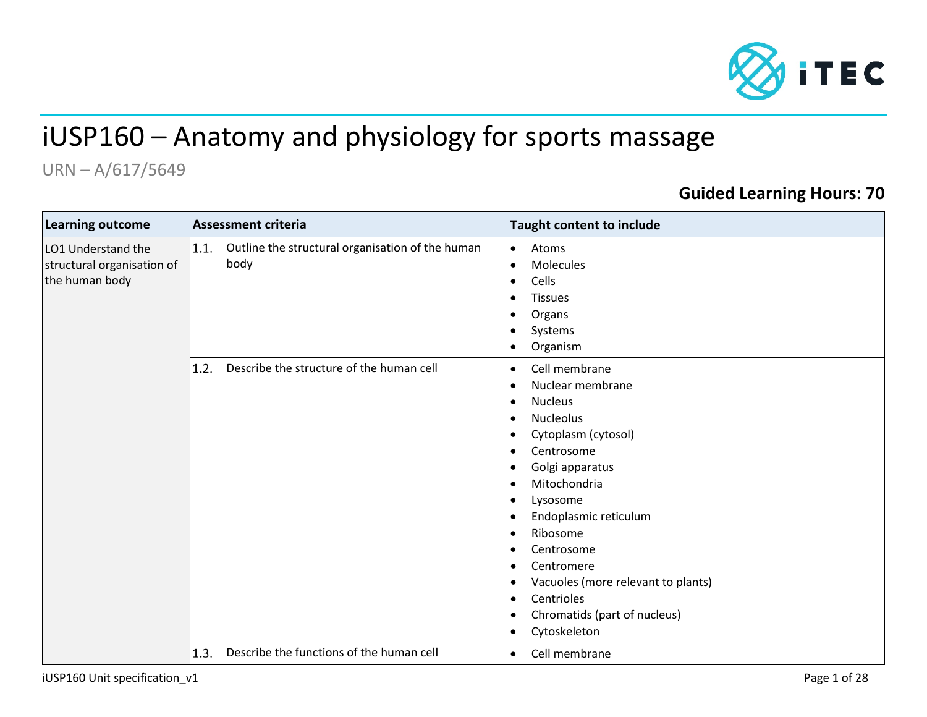

# iUSP160 – Anatomy and physiology for sports massage

## URN – A/617/5649

### **Guided Learning Hours: 70**

| <b>Learning outcome</b>                                            | <b>Assessment criteria</b>                                       | Taught content to include                                                                                                                                                                                                                                                                                                                                                                                                                                                                 |  |  |
|--------------------------------------------------------------------|------------------------------------------------------------------|-------------------------------------------------------------------------------------------------------------------------------------------------------------------------------------------------------------------------------------------------------------------------------------------------------------------------------------------------------------------------------------------------------------------------------------------------------------------------------------------|--|--|
| LO1 Understand the<br>structural organisation of<br>the human body | Outline the structural organisation of the human<br>1.1.<br>body | Atoms<br>$\bullet$<br>Molecules<br>$\bullet$<br>Cells<br>$\bullet$<br><b>Tissues</b><br>٠<br>Organs<br>٠<br>Systems<br>Organism<br>$\bullet$                                                                                                                                                                                                                                                                                                                                              |  |  |
|                                                                    | Describe the structure of the human cell<br>1.2.                 | Cell membrane<br>$\bullet$<br>Nuclear membrane<br>$\bullet$<br><b>Nucleus</b><br>$\bullet$<br><b>Nucleolus</b><br>$\bullet$<br>Cytoplasm (cytosol)<br>Centrosome<br>$\bullet$<br>Golgi apparatus<br>$\bullet$<br>Mitochondria<br>$\bullet$<br>Lysosome<br>٠<br>Endoplasmic reticulum<br>$\bullet$<br>Ribosome<br>٠<br>Centrosome<br>Centromere<br>Vacuoles (more relevant to plants)<br>Centrioles<br>$\bullet$<br>Chromatids (part of nucleus)<br>$\bullet$<br>Cytoskeleton<br>$\bullet$ |  |  |
|                                                                    | Describe the functions of the human cell<br>1.3.                 | Cell membrane<br>$\bullet$                                                                                                                                                                                                                                                                                                                                                                                                                                                                |  |  |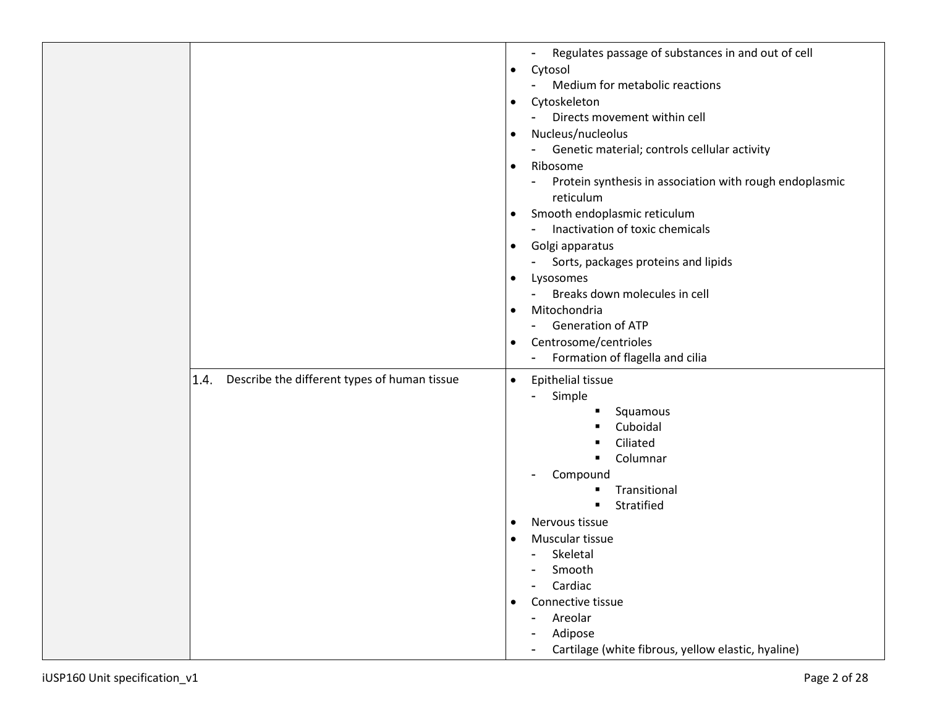|                                                      | Regulates passage of substances in and out of cell<br>Cytosol<br>$\bullet$<br>Medium for metabolic reactions<br>Cytoskeleton<br>$\bullet$<br>Directs movement within cell<br>Nucleus/nucleolus<br>$\bullet$<br>Genetic material; controls cellular activity<br>$\blacksquare$<br>Ribosome<br>$\bullet$<br>Protein synthesis in association with rough endoplasmic<br>reticulum<br>Smooth endoplasmic reticulum<br>$\bullet$<br>Inactivation of toxic chemicals<br>۰<br>Golgi apparatus<br>$\bullet$<br>Sorts, packages proteins and lipids<br>$\blacksquare$<br>Lysosomes<br>$\bullet$<br>Breaks down molecules in cell<br>٠<br>Mitochondria<br>$\bullet$<br><b>Generation of ATP</b><br>۰.<br>Centrosome/centrioles<br>$\bullet$<br>Formation of flagella and cilia<br>$\overline{\phantom{a}}$ |
|------------------------------------------------------|--------------------------------------------------------------------------------------------------------------------------------------------------------------------------------------------------------------------------------------------------------------------------------------------------------------------------------------------------------------------------------------------------------------------------------------------------------------------------------------------------------------------------------------------------------------------------------------------------------------------------------------------------------------------------------------------------------------------------------------------------------------------------------------------------|
| Describe the different types of human tissue<br>1.4. | Epithelial tissue<br>$\bullet$<br>Simple<br>Squamous<br>Cuboidal<br>Ciliated<br>Columnar<br>٠<br>Compound<br>Transitional<br>■<br>Stratified<br>Nervous tissue<br>$\bullet$<br>Muscular tissue<br>$\bullet$<br>Skeletal<br>$\sim$<br>Smooth<br>Cardiac<br>Connective tissue<br>$\bullet$<br>Areolar<br>$\blacksquare$<br>Adipose<br>Cartilage (white fibrous, yellow elastic, hyaline)                                                                                                                                                                                                                                                                                                                                                                                                           |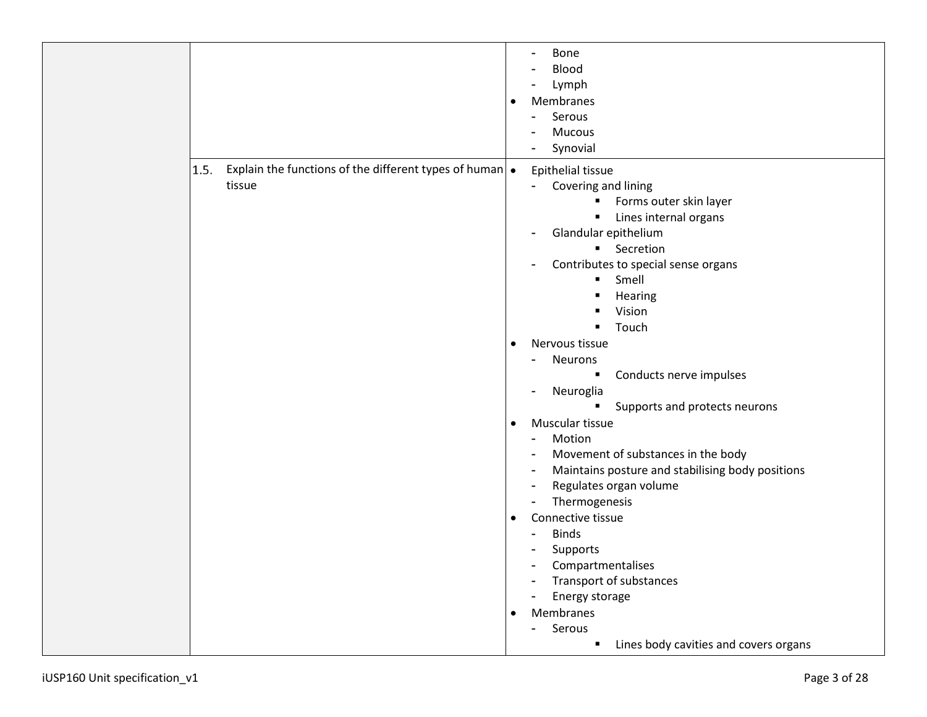|                                                                                 | Bone<br>Blood<br>Lymph<br>Membranes<br>$\bullet$<br>Serous<br>Mucous<br>Synovial                                                                                                                                                                                                                                                                                                                                                                                                                                                                                                                                                                                                                                                                                                                                                                                                                      |
|---------------------------------------------------------------------------------|-------------------------------------------------------------------------------------------------------------------------------------------------------------------------------------------------------------------------------------------------------------------------------------------------------------------------------------------------------------------------------------------------------------------------------------------------------------------------------------------------------------------------------------------------------------------------------------------------------------------------------------------------------------------------------------------------------------------------------------------------------------------------------------------------------------------------------------------------------------------------------------------------------|
| 1.5.<br>Explain the functions of the different types of human $\cdot$<br>tissue | Epithelial tissue<br>Covering and lining<br>$\blacksquare$<br>Forms outer skin layer<br>$\blacksquare$<br>Lines internal organs<br>$\blacksquare$<br>Glandular epithelium<br><b>Secretion</b><br>Contributes to special sense organs<br>Smell<br>$\blacksquare$<br>Hearing<br>Vision<br>Touch<br>Nervous tissue<br>$\bullet$<br><b>Neurons</b><br>Conducts nerve impulses<br>$\blacksquare$<br>Neuroglia<br>Supports and protects neurons<br>$\blacksquare$<br>Muscular tissue<br>$\bullet$<br>Motion<br>$\blacksquare$<br>Movement of substances in the body<br>Maintains posture and stabilising body positions<br>Regulates organ volume<br>Thermogenesis<br>Connective tissue<br>$\bullet$<br><b>Binds</b><br>$\blacksquare$<br>Supports<br>٠<br>Compartmentalises<br>Transport of substances<br>Energy storage<br>Membranes<br>$\bullet$<br>Serous<br>Lines body cavities and covers organs<br>٠ |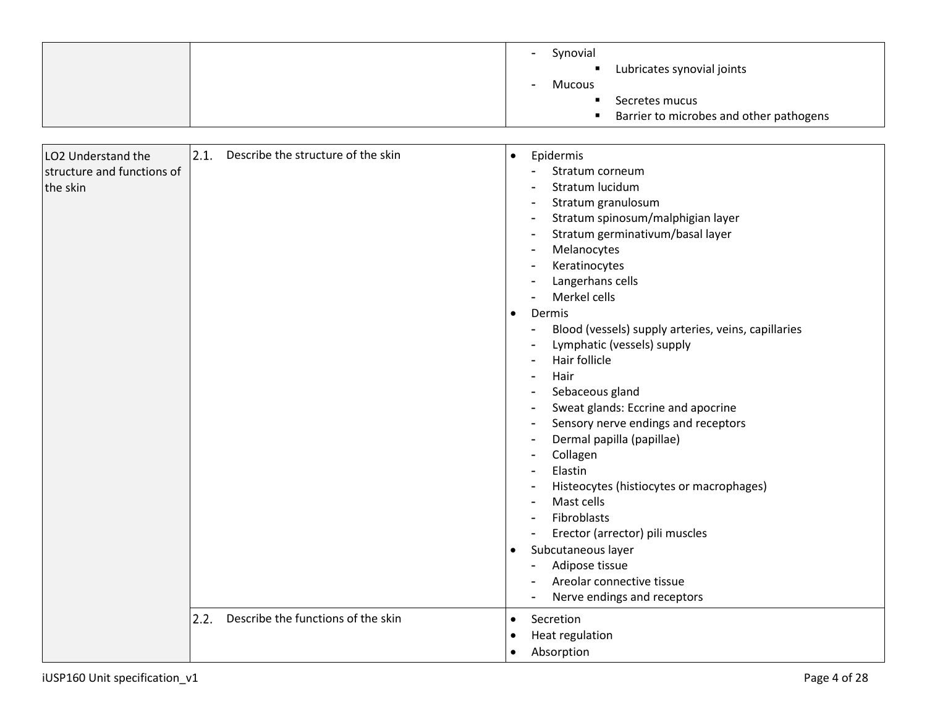|                                                              |                                            | Synovial<br>Lubricates synovial joints<br>Mucous<br>Secretes mucus<br>Barrier to microbes and other pathogens                                                                                                                                                                                                                                                                                                                                                                                                                                                                                                                                                                                                                                                                                                                                                                                                                                                                                                                                        |
|--------------------------------------------------------------|--------------------------------------------|------------------------------------------------------------------------------------------------------------------------------------------------------------------------------------------------------------------------------------------------------------------------------------------------------------------------------------------------------------------------------------------------------------------------------------------------------------------------------------------------------------------------------------------------------------------------------------------------------------------------------------------------------------------------------------------------------------------------------------------------------------------------------------------------------------------------------------------------------------------------------------------------------------------------------------------------------------------------------------------------------------------------------------------------------|
| LO2 Understand the<br>structure and functions of<br>the skin | 2.1.<br>Describe the structure of the skin | Epidermis<br>$\bullet$<br>Stratum corneum<br>Stratum lucidum<br>Stratum granulosum<br>$\overline{\phantom{a}}$<br>Stratum spinosum/malphigian layer<br>Stratum germinativum/basal layer<br>$\blacksquare$<br>Melanocytes<br>$\overline{\phantom{a}}$<br>Keratinocytes<br>٠<br>Langerhans cells<br>$\blacksquare$<br>Merkel cells<br>$\overline{a}$<br>Dermis<br>$\bullet$<br>Blood (vessels) supply arteries, veins, capillaries<br>$\blacksquare$<br>Lymphatic (vessels) supply<br>Hair follicle<br>Hair<br>Sebaceous gland<br>$\blacksquare$<br>Sweat glands: Eccrine and apocrine<br>$\blacksquare$<br>Sensory nerve endings and receptors<br>Dermal papilla (papillae)<br>Collagen<br>Elastin<br>Histeocytes (histiocytes or macrophages)<br>$\overline{a}$<br>Mast cells<br>$\overline{a}$<br>Fibroblasts<br>$\overline{\phantom{a}}$<br>Erector (arrector) pili muscles<br>$\blacksquare$<br>Subcutaneous layer<br>$\bullet$<br>Adipose tissue<br>Areolar connective tissue<br>$\blacksquare$<br>Nerve endings and receptors<br>$\blacksquare$ |
|                                                              | Describe the functions of the skin<br>2.2. | Secretion<br>$\bullet$<br>Heat regulation<br>$\bullet$<br>Absorption<br>$\bullet$                                                                                                                                                                                                                                                                                                                                                                                                                                                                                                                                                                                                                                                                                                                                                                                                                                                                                                                                                                    |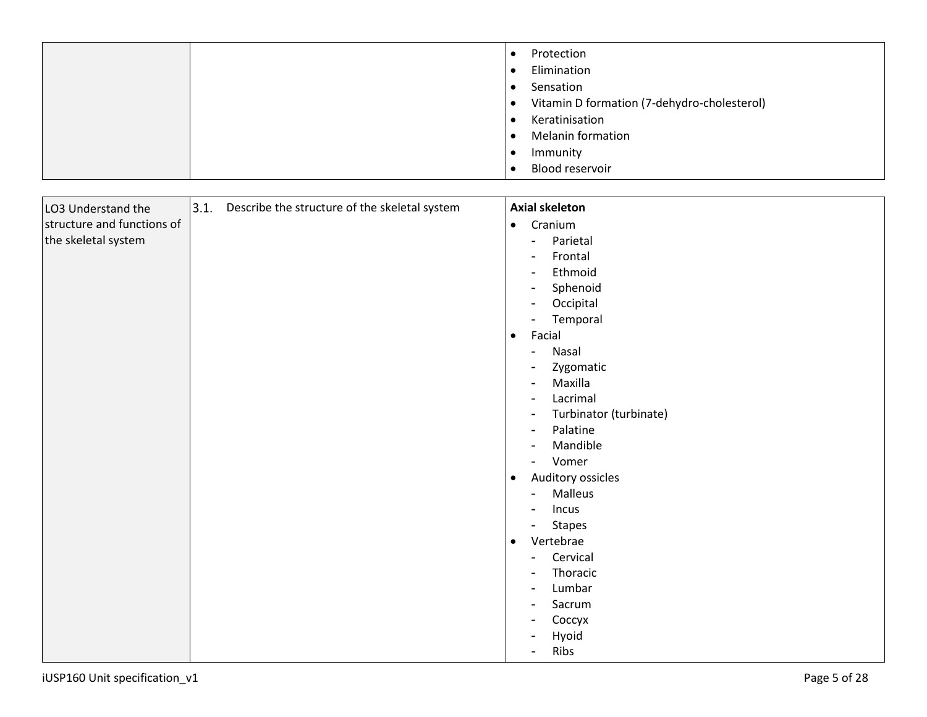|  | Protection<br>Elimination                   |
|--|---------------------------------------------|
|  | Sensation                                   |
|  | Vitamin D formation (7-dehydro-cholesterol) |
|  | Keratinisation                              |
|  | <b>Melanin formation</b>                    |
|  | Immunity                                    |
|  | Blood reservoir                             |

| LO3 Understand the         | 3.1. | Describe the structure of the skeletal system |                | <b>Axial skeleton</b>  |
|----------------------------|------|-----------------------------------------------|----------------|------------------------|
| structure and functions of |      |                                               | $\bullet$      | Cranium                |
| the skeletal system        |      |                                               | $\blacksquare$ | Parietal               |
|                            |      |                                               |                | Frontal                |
|                            |      |                                               |                | Ethmoid                |
|                            |      |                                               |                | Sphenoid               |
|                            |      |                                               |                | Occipital              |
|                            |      |                                               |                | Temporal               |
|                            |      |                                               | $\bullet$      | Facial                 |
|                            |      |                                               | -              | Nasal                  |
|                            |      |                                               |                | Zygomatic              |
|                            |      |                                               |                | Maxilla                |
|                            |      |                                               |                | Lacrimal               |
|                            |      |                                               | ۰              | Turbinator (turbinate) |
|                            |      |                                               |                | Palatine               |
|                            |      |                                               |                | Mandible               |
|                            |      |                                               | -              | Vomer                  |
|                            |      |                                               | $\bullet$      | Auditory ossicles      |
|                            |      |                                               |                | Malleus                |
|                            |      |                                               |                | Incus                  |
|                            |      |                                               | -              | <b>Stapes</b>          |
|                            |      |                                               | $\bullet$      | Vertebrae              |
|                            |      |                                               |                | Cervical               |
|                            |      |                                               |                | Thoracic               |
|                            |      |                                               | ٠              | Lumbar                 |
|                            |      |                                               |                | Sacrum                 |
|                            |      |                                               |                | Соссух                 |
|                            |      |                                               | ۰              | Hyoid                  |
|                            |      |                                               |                | Ribs                   |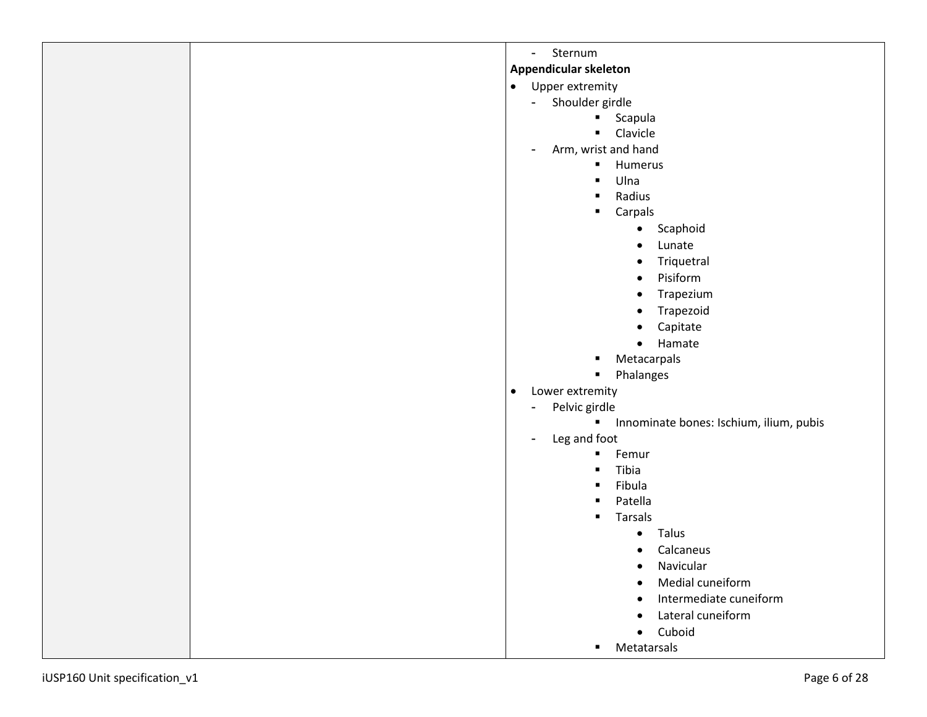| Sternum<br>$\blacksquare$                                 |
|-----------------------------------------------------------|
| <b>Appendicular skeleton</b>                              |
| Upper extremity<br>$\bullet$                              |
| Shoulder girdle<br>$\blacksquare$                         |
| Scapula                                                   |
| Clavicle<br>$\blacksquare$                                |
| Arm, wrist and hand<br>$\blacksquare$                     |
| Humerus<br>$\blacksquare$                                 |
| Ulna<br>٠                                                 |
| Radius<br>٠                                               |
| Carpals<br>$\blacksquare$                                 |
| Scaphoid<br>$\bullet$                                     |
| Lunate<br>$\bullet$                                       |
| Triquetral<br>$\bullet$                                   |
| Pisiform<br>$\bullet$                                     |
| Trapezium<br>$\bullet$                                    |
| Trapezoid                                                 |
| Capitate                                                  |
| Hamate<br>$\bullet$                                       |
| Metacarpals<br>٠                                          |
| Phalanges<br>$\blacksquare$                               |
| Lower extremity<br>$\bullet$                              |
| Pelvic girdle<br>۰                                        |
| Innominate bones: Ischium, ilium, pubis<br>$\blacksquare$ |
| Leg and foot<br>۰                                         |
| Femur<br>$\blacksquare$                                   |
| Tibia<br>٠                                                |
| Fibula<br>$\blacksquare$                                  |
| Patella<br>$\blacksquare$                                 |
| <b>Tarsals</b><br>٠                                       |
| Talus<br>$\bullet$                                        |
| Calcaneus<br>$\bullet$                                    |
| Navicular<br>$\bullet$                                    |
| Medial cuneiform                                          |
| Intermediate cuneiform<br>$\bullet$                       |
| Lateral cuneiform<br>$\bullet$                            |
|                                                           |
| Cuboid<br>$\bullet$<br>$\blacksquare$ .                   |
| Metatarsals                                               |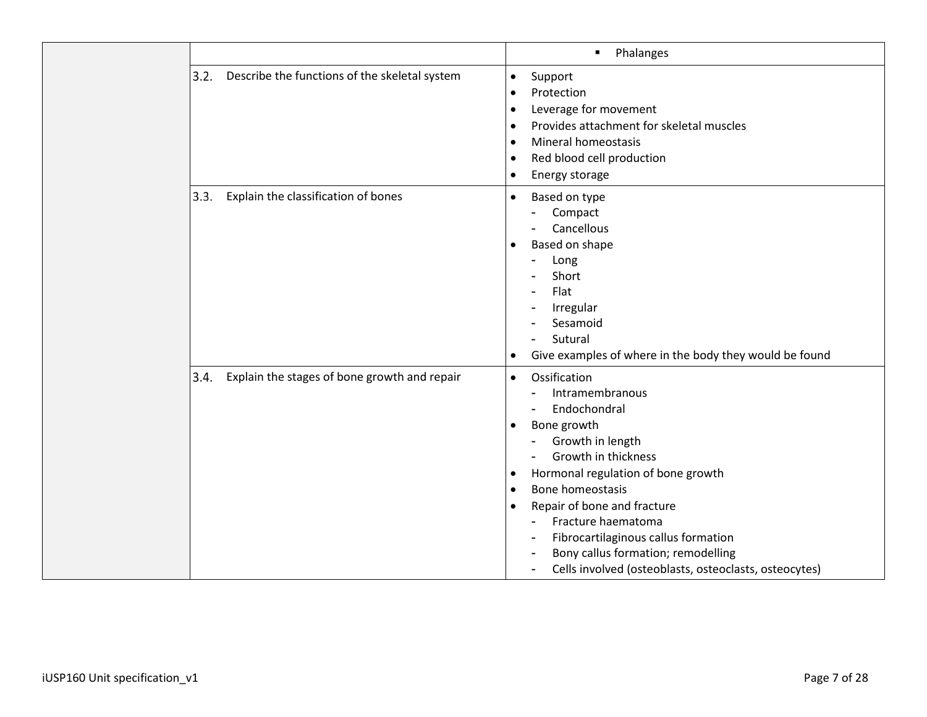|      |                                               | Phalanges<br>٠                                                                                                                                                                                                                                                                                                                                                                                                                                              |
|------|-----------------------------------------------|-------------------------------------------------------------------------------------------------------------------------------------------------------------------------------------------------------------------------------------------------------------------------------------------------------------------------------------------------------------------------------------------------------------------------------------------------------------|
| 3.2. | Describe the functions of the skeletal system | Support<br>$\bullet$<br>Protection<br>$\bullet$<br>Leverage for movement<br>$\bullet$<br>Provides attachment for skeletal muscles<br>$\bullet$<br>Mineral homeostasis<br>٠<br>Red blood cell production<br>$\bullet$<br>Energy storage<br>$\bullet$                                                                                                                                                                                                         |
| 3.3. | Explain the classification of bones           | Based on type<br>$\bullet$<br>Compact<br>Cancellous<br>Based on shape<br>٠<br>Long<br>Short<br>Flat<br>Irregular<br>Sesamoid<br>Sutural<br>Give examples of where in the body they would be found<br>$\bullet$                                                                                                                                                                                                                                              |
| 3.4. | Explain the stages of bone growth and repair  | Ossification<br>$\bullet$<br>Intramembranous<br>Endochondral<br>Bone growth<br>$\bullet$<br>Growth in length<br>Growth in thickness<br>Hormonal regulation of bone growth<br>$\bullet$<br>Bone homeostasis<br>$\bullet$<br>Repair of bone and fracture<br>$\bullet$<br>Fracture haematoma<br>Fibrocartilaginous callus formation<br>Bony callus formation; remodelling<br>Cells involved (osteoblasts, osteoclasts, osteocytes)<br>$\overline{\phantom{0}}$ |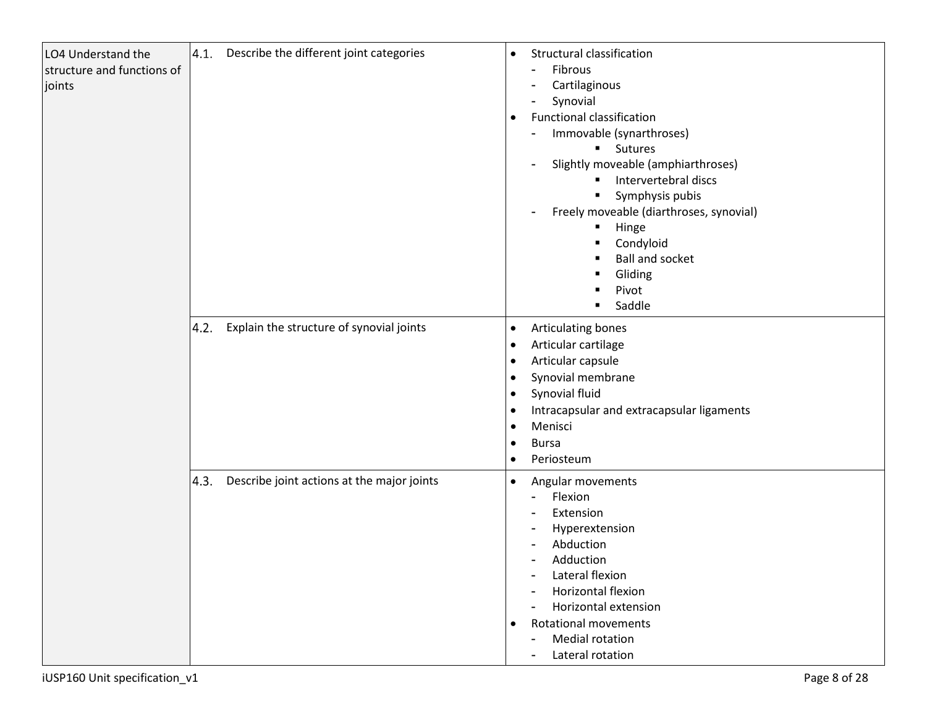| LO4 Understand the<br>structure and functions of<br>joints | 4.1. | Describe the different joint categories    | $\bullet$<br>$\bullet$                                                                               | Structural classification<br>Fibrous<br>$\overline{a}$<br>Cartilaginous<br>$\blacksquare$<br>Synovial<br>$\overline{\phantom{0}}$<br><b>Functional classification</b><br>Immovable (synarthroses)<br><b>Sutures</b><br>Slightly moveable (amphiarthroses)<br>Intervertebral discs<br>٠<br>Symphysis pubis<br>$\blacksquare$<br>Freely moveable (diarthroses, synovial)<br>$\blacksquare$<br>Hinge<br>٠<br>Condyloid<br>$\blacksquare$<br><b>Ball and socket</b><br>Gliding<br>Pivot<br>Saddle<br>$\blacksquare$ |
|------------------------------------------------------------|------|--------------------------------------------|------------------------------------------------------------------------------------------------------|-----------------------------------------------------------------------------------------------------------------------------------------------------------------------------------------------------------------------------------------------------------------------------------------------------------------------------------------------------------------------------------------------------------------------------------------------------------------------------------------------------------------|
|                                                            | 4.2. | Explain the structure of synovial joints   | $\bullet$<br>$\bullet$<br>$\bullet$<br>$\bullet$<br>$\bullet$<br>$\bullet$<br>$\bullet$<br>$\bullet$ | Articulating bones<br>Articular cartilage<br>Articular capsule<br>Synovial membrane<br>Synovial fluid<br>Intracapsular and extracapsular ligaments<br>Menisci<br><b>Bursa</b><br>Periosteum                                                                                                                                                                                                                                                                                                                     |
|                                                            | 4.3. | Describe joint actions at the major joints | $\bullet$<br>$\bullet$                                                                               | Angular movements<br>Flexion<br>$\blacksquare$<br>Extension<br>Hyperextension<br>٠<br>Abduction<br>Adduction<br>Lateral flexion<br>٠<br>Horizontal flexion<br>Horizontal extension<br>$\blacksquare$<br><b>Rotational movements</b><br><b>Medial rotation</b><br>$\qquad \qquad$<br>Lateral rotation<br>$\blacksquare$                                                                                                                                                                                          |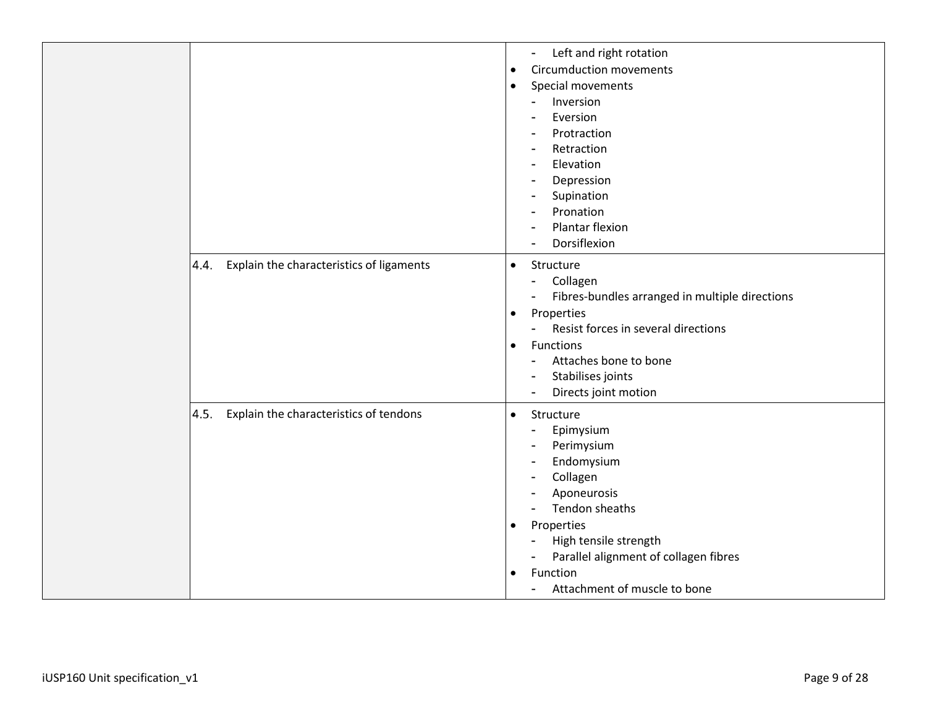|                                                  | Left and right rotation<br>$\blacksquare$<br><b>Circumduction movements</b><br>$\bullet$<br>Special movements<br>$\bullet$<br>Inversion<br>$\blacksquare$<br>Eversion<br>$\overline{\phantom{a}}$<br>Protraction<br>$\overline{\phantom{a}}$<br>Retraction<br>$\overline{\phantom{a}}$<br>Elevation<br>$\sim$<br>Depression<br>Supination<br>$\overline{\phantom{a}}$<br>Pronation<br>Plantar flexion<br>Dorsiflexion |
|--------------------------------------------------|-----------------------------------------------------------------------------------------------------------------------------------------------------------------------------------------------------------------------------------------------------------------------------------------------------------------------------------------------------------------------------------------------------------------------|
| Explain the characteristics of ligaments<br>4.4. | Structure<br>$\bullet$<br>Collagen<br>$\blacksquare$<br>Fibres-bundles arranged in multiple directions<br>Properties<br>$\bullet$<br>Resist forces in several directions<br>Functions<br>$\bullet$<br>Attaches bone to bone<br>$\overline{\phantom{a}}$<br>Stabilises joints<br>Directs joint motion<br>$\blacksquare$                                                                                                |
| Explain the characteristics of tendons<br>4.5.   | Structure<br>$\bullet$<br>Epimysium<br>$\blacksquare$<br>Perimysium<br>$\blacksquare$<br>Endomysium<br>$\blacksquare$<br>Collagen<br>$\overline{\phantom{a}}$<br>Aponeurosis<br>Tendon sheaths<br>Properties<br>$\bullet$<br>High tensile strength<br>$\overline{\phantom{a}}$<br>Parallel alignment of collagen fibres<br>Function<br>$\bullet$<br>Attachment of muscle to bone                                      |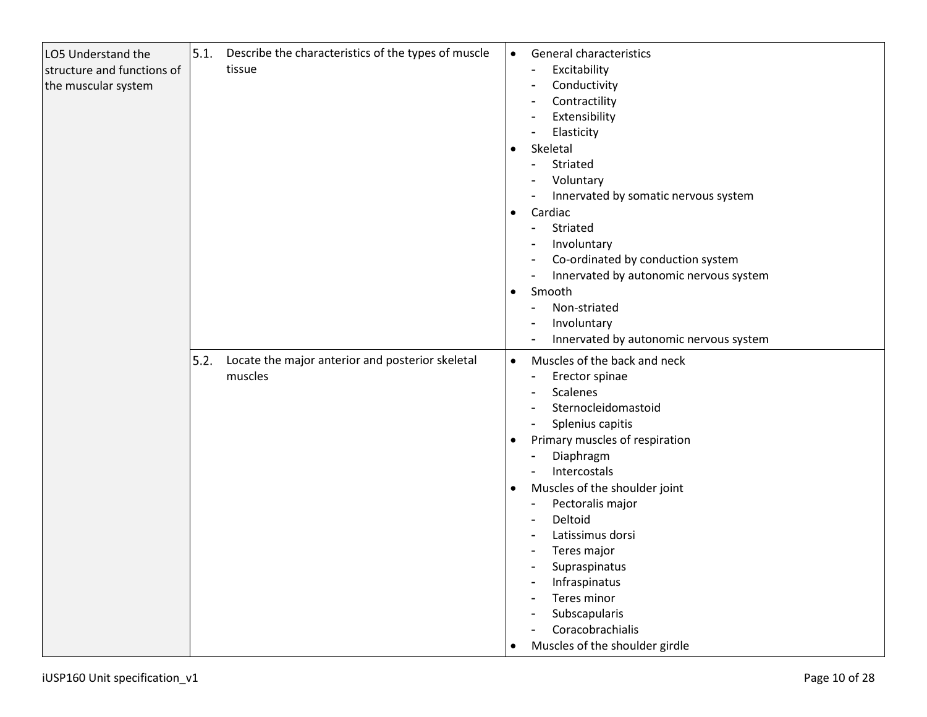| LO5 Understand the<br>structure and functions of<br>the muscular system | 5.1. | Describe the characteristics of the types of muscle<br>tissue | $\bullet$<br>$\bullet$<br>$\bullet$<br>$\bullet$ | General characteristics<br>Excitability<br>Conductivity<br>$\overline{\phantom{a}}$<br>Contractility<br>Extensibility<br>Elasticity<br>$\blacksquare$<br>Skeletal<br>Striated<br>$\blacksquare$<br>Voluntary<br>Innervated by somatic nervous system<br>Cardiac<br>Striated<br>$\blacksquare$<br>Involuntary<br>Co-ordinated by conduction system<br>Innervated by autonomic nervous system<br>$\overline{\phantom{0}}$<br>Smooth<br>Non-striated<br>$\blacksquare$<br>Involuntary<br>$\overline{\phantom{0}}$                                                                                                                                                                                                          |
|-------------------------------------------------------------------------|------|---------------------------------------------------------------|--------------------------------------------------|-------------------------------------------------------------------------------------------------------------------------------------------------------------------------------------------------------------------------------------------------------------------------------------------------------------------------------------------------------------------------------------------------------------------------------------------------------------------------------------------------------------------------------------------------------------------------------------------------------------------------------------------------------------------------------------------------------------------------|
|                                                                         | 5.2. | Locate the major anterior and posterior skeletal<br>muscles   | $\bullet$<br>$\bullet$<br>$\bullet$<br>$\bullet$ | Innervated by autonomic nervous system<br>$\overline{\phantom{a}}$<br>Muscles of the back and neck<br>Erector spinae<br>$\overline{\phantom{a}}$<br>Scalenes<br>$\overline{\phantom{a}}$<br>Sternocleidomastoid<br>Splenius capitis<br>Primary muscles of respiration<br>Diaphragm<br>$\overline{\phantom{a}}$<br>Intercostals<br>$\blacksquare$<br>Muscles of the shoulder joint<br>Pectoralis major<br>$\overline{\phantom{0}}$<br>Deltoid<br>$\overline{\phantom{a}}$<br>Latissimus dorsi<br>$\overline{\phantom{a}}$<br>Teres major<br>$\overline{\phantom{a}}$<br>Supraspinatus<br>$\overline{\phantom{a}}$<br>Infraspinatus<br>Teres minor<br>Subscapularis<br>Coracobrachialis<br>Muscles of the shoulder girdle |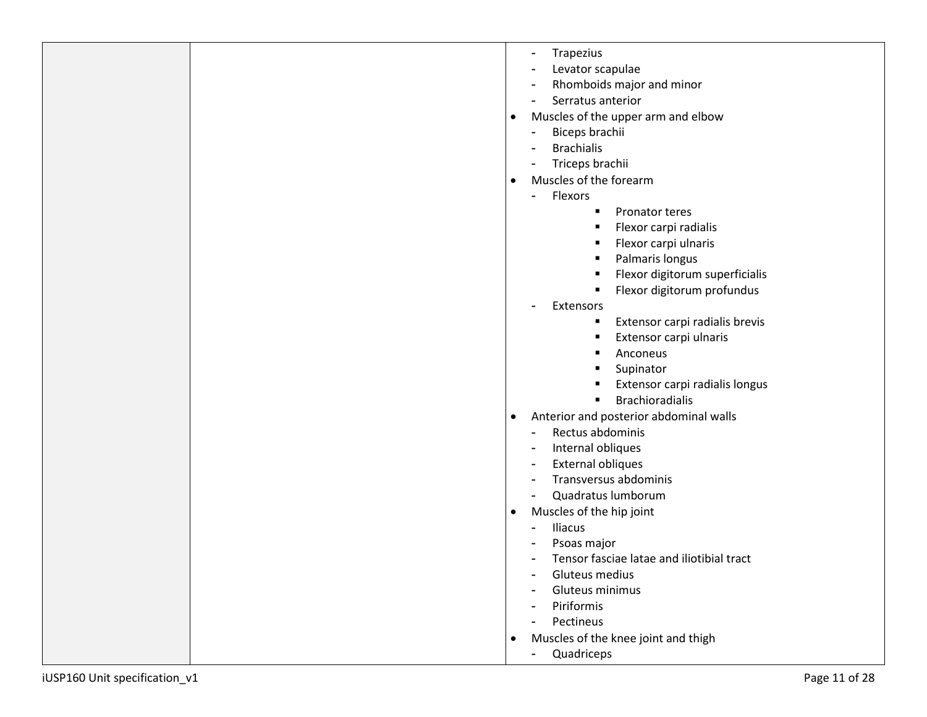| Trapezius<br>Levator scapulae<br>Rhomboids major and minor<br>Serratus anterior<br>Muscles of the upper arm and elbow<br>$\bullet$<br>Biceps brachii<br><b>Brachialis</b><br>Triceps brachii<br>Muscles of the forearm<br>$\bullet$<br>Flexors<br>$\blacksquare$<br>Pronator teres<br>Flexor carpi radialis<br>Flexor carpi ulnaris<br>Palmaris longus<br>Flexor digitorum superficialis<br>Flexor digitorum profundus<br>Extensors<br>Extensor carpi radialis brevis<br>٠<br>Extensor carpi ulnaris<br>п<br>Anconeus<br>Supinator<br>Extensor carpi radialis longus<br><b>Brachioradialis</b><br>٠<br>Anterior and posterior abdominal walls<br>$\bullet$<br>Rectus abdominis<br>Internal obliques<br><b>External obliques</b><br>Transversus abdominis<br>Quadratus lumborum<br>Muscles of the hip joint<br>$\bullet$<br>Iliacus<br>Psoas major<br>Tensor fasciae latae and iliotibial tract<br>Gluteus medius<br>Gluteus minimus<br>Piriformis<br>Pectineus<br>Muscles of the knee joint and thigh<br>$\bullet$ |                               |                             |
|--------------------------------------------------------------------------------------------------------------------------------------------------------------------------------------------------------------------------------------------------------------------------------------------------------------------------------------------------------------------------------------------------------------------------------------------------------------------------------------------------------------------------------------------------------------------------------------------------------------------------------------------------------------------------------------------------------------------------------------------------------------------------------------------------------------------------------------------------------------------------------------------------------------------------------------------------------------------------------------------------------------------|-------------------------------|-----------------------------|
|                                                                                                                                                                                                                                                                                                                                                                                                                                                                                                                                                                                                                                                                                                                                                                                                                                                                                                                                                                                                                    | iUSP160 Unit specification_v1 | Quadriceps<br>Page 11 of 28 |
|                                                                                                                                                                                                                                                                                                                                                                                                                                                                                                                                                                                                                                                                                                                                                                                                                                                                                                                                                                                                                    |                               |                             |
|                                                                                                                                                                                                                                                                                                                                                                                                                                                                                                                                                                                                                                                                                                                                                                                                                                                                                                                                                                                                                    |                               |                             |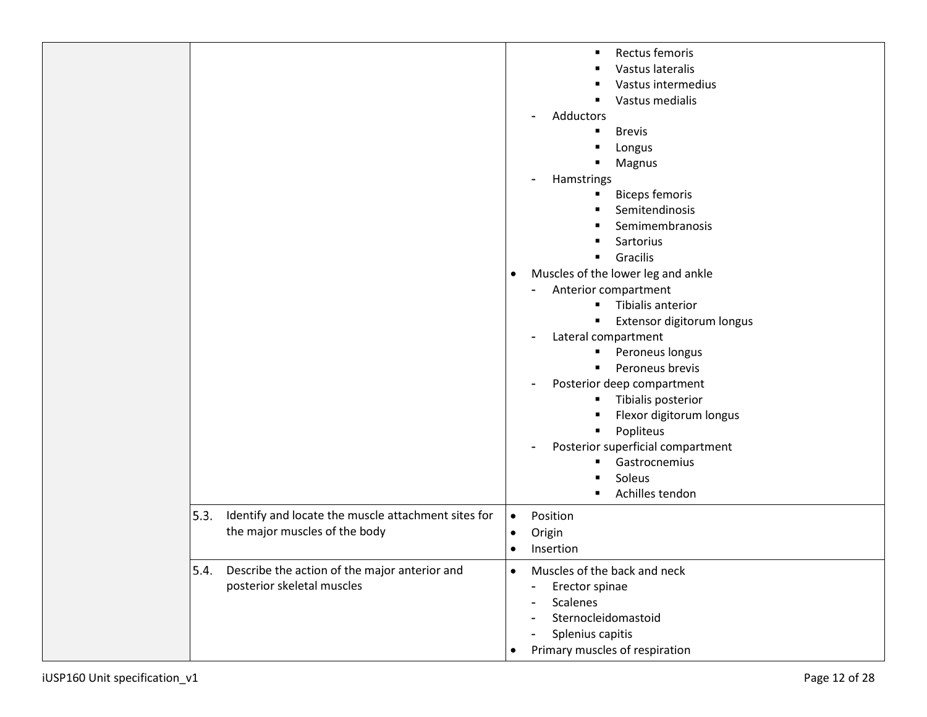|                                                                                              | Rectus femoris<br>Vastus lateralis<br>Vastus intermedius<br>Vastus medialis<br>Adductors<br><b>Brevis</b><br>$\blacksquare$<br>Longus<br>Magnus<br>Hamstrings<br><b>Biceps femoris</b><br>п<br>Semitendinosis<br>Semimembranosis<br>Sartorius<br>٠<br>Gracilis<br>Muscles of the lower leg and ankle<br>$\bullet$<br>Anterior compartment<br>Tibialis anterior<br>٠<br>Extensor digitorum longus<br>Lateral compartment<br>$\blacksquare$<br>Peroneus longus<br>٠<br>Peroneus brevis<br>٠<br>Posterior deep compartment<br>Tibialis posterior<br>п<br>Flexor digitorum longus<br>Popliteus<br>Posterior superficial compartment<br>Gastrocnemius<br>Soleus<br>Achilles tendon |
|----------------------------------------------------------------------------------------------|-------------------------------------------------------------------------------------------------------------------------------------------------------------------------------------------------------------------------------------------------------------------------------------------------------------------------------------------------------------------------------------------------------------------------------------------------------------------------------------------------------------------------------------------------------------------------------------------------------------------------------------------------------------------------------|
| Identify and locate the muscle attachment sites for<br>5.3.<br>the major muscles of the body | Position<br>$\bullet$<br>Origin<br>$\bullet$<br>Insertion<br>$\bullet$                                                                                                                                                                                                                                                                                                                                                                                                                                                                                                                                                                                                        |
| 5.4.<br>Describe the action of the major anterior and<br>posterior skeletal muscles          | Muscles of the back and neck<br>$\bullet$<br>Erector spinae<br>$\blacksquare$<br><b>Scalenes</b><br>Sternocleidomastoid<br>Splenius capitis<br>Primary muscles of respiration<br>$\bullet$                                                                                                                                                                                                                                                                                                                                                                                                                                                                                    |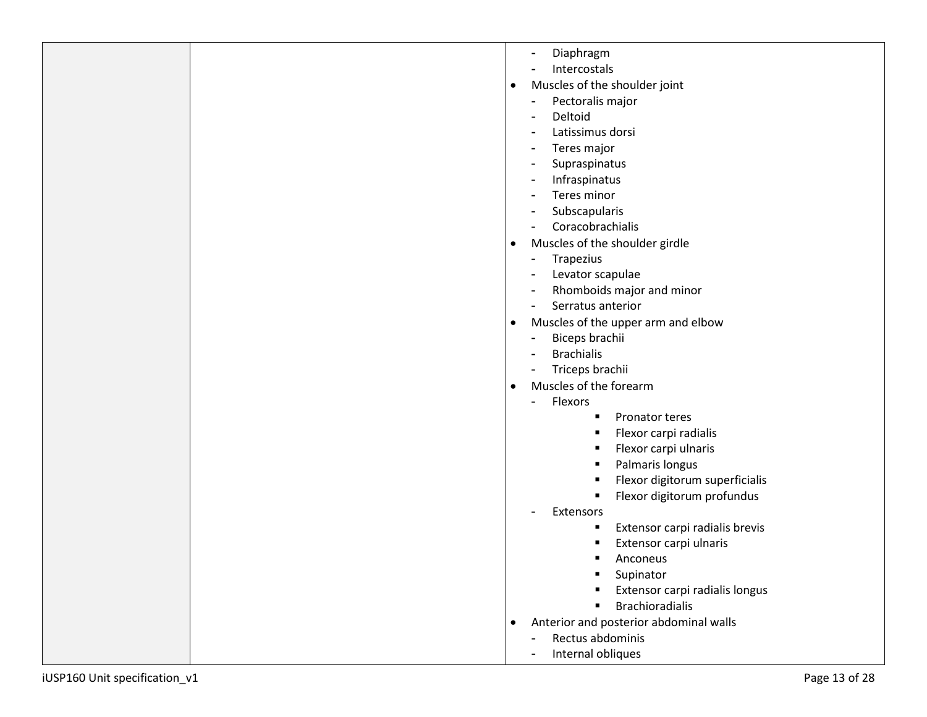| iUSP160 Unit specification_v1 | Page 13 of 28                                       |
|-------------------------------|-----------------------------------------------------|
|                               | Internal obliques                                   |
|                               | Rectus abdominis<br>$\blacksquare$                  |
|                               | Anterior and posterior abdominal walls<br>$\bullet$ |
|                               |                                                     |
|                               | <b>Brachioradialis</b>                              |
|                               | Extensor carpi radialis longus                      |
|                               | Anconeus<br>Supinator                               |
|                               | Extensor carpi ulnaris                              |
|                               | Extensor carpi radialis brevis<br>٠                 |
|                               | Extensors                                           |
|                               | Flexor digitorum profundus                          |
|                               | Flexor digitorum superficialis<br>п                 |
|                               | Palmaris longus<br>п                                |
|                               | Flexor carpi ulnaris<br>п                           |
|                               | Flexor carpi radialis                               |
|                               | Pronator teres                                      |
|                               | Flexors<br>$\blacksquare$                           |
|                               | Muscles of the forearm<br>$\bullet$                 |
|                               | Triceps brachii                                     |
|                               | <b>Brachialis</b>                                   |
|                               | Biceps brachii                                      |
|                               | Muscles of the upper arm and elbow<br>$\bullet$     |
|                               | Serratus anterior                                   |
|                               | Rhomboids major and minor                           |
|                               | Levator scapulae                                    |
|                               | Trapezius                                           |
|                               | Muscles of the shoulder girdle<br>$\bullet$         |
|                               | Coracobrachialis                                    |
|                               | Subscapularis                                       |
|                               | Teres minor                                         |
|                               | Infraspinatus                                       |
|                               | Supraspinatus                                       |
|                               | Teres major                                         |
|                               | Latissimus dorsi                                    |
|                               | Pectoralis major<br>Deltoid                         |
|                               | Muscles of the shoulder joint<br>$\bullet$          |
|                               | Intercostals                                        |
|                               |                                                     |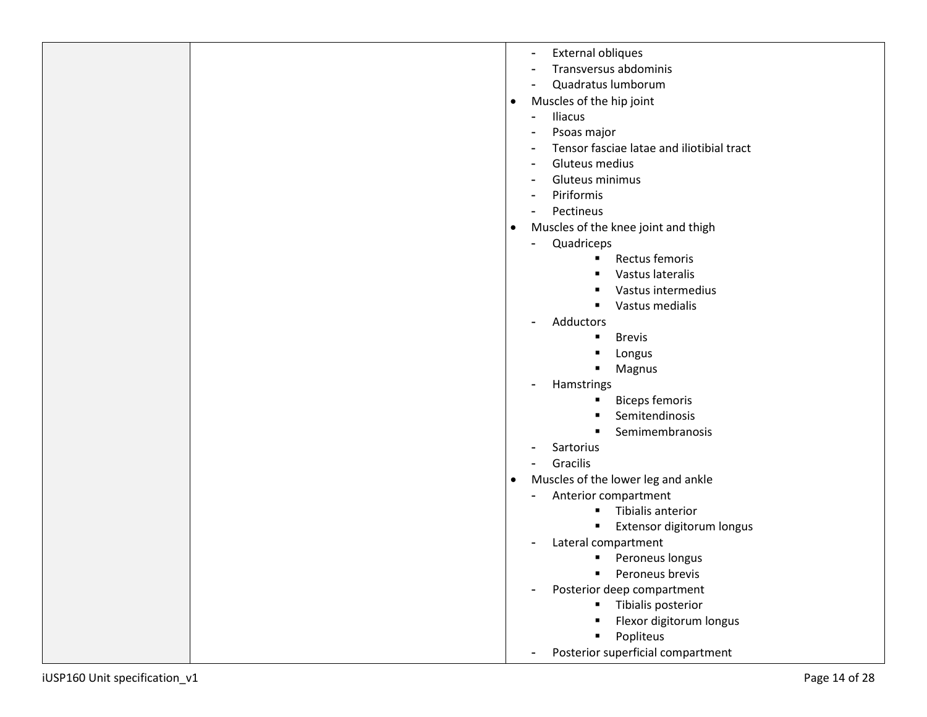|                               | External obliques                                |
|-------------------------------|--------------------------------------------------|
|                               | Transversus abdominis                            |
|                               | Quadratus lumborum                               |
|                               | Muscles of the hip joint<br>$\bullet$            |
|                               | Iliacus                                          |
|                               | Psoas major                                      |
|                               | Tensor fasciae latae and iliotibial tract        |
|                               | Gluteus medius                                   |
|                               | Gluteus minimus                                  |
|                               | Piriformis                                       |
|                               | Pectineus                                        |
|                               | Muscles of the knee joint and thigh<br>$\bullet$ |
|                               | Quadriceps                                       |
|                               | Rectus femoris<br>٠                              |
|                               | Vastus lateralis                                 |
|                               | Vastus intermedius                               |
|                               | Vastus medialis                                  |
|                               | Adductors                                        |
|                               | <b>Brevis</b><br>٠                               |
|                               | Longus                                           |
|                               | Magnus                                           |
|                               | Hamstrings                                       |
|                               | <b>Biceps femoris</b><br>٠                       |
|                               | Semitendinosis                                   |
|                               | Semimembranosis                                  |
|                               | Sartorius                                        |
|                               | Gracilis                                         |
|                               | Muscles of the lower leg and ankle<br>$\bullet$  |
|                               | Anterior compartment                             |
|                               | Tibialis anterior                                |
|                               | Extensor digitorum longus<br>п                   |
|                               | Lateral compartment                              |
|                               | Peroneus longus<br>$\blacksquare$                |
|                               | Peroneus brevis<br>$\blacksquare$                |
|                               | Posterior deep compartment                       |
|                               | Tibialis posterior<br>$\bullet$ .                |
|                               | Flexor digitorum longus                          |
|                               | Popliteus                                        |
|                               | Posterior superficial compartment                |
| iUSP160 Unit specification_v1 | Page 14 of 28                                    |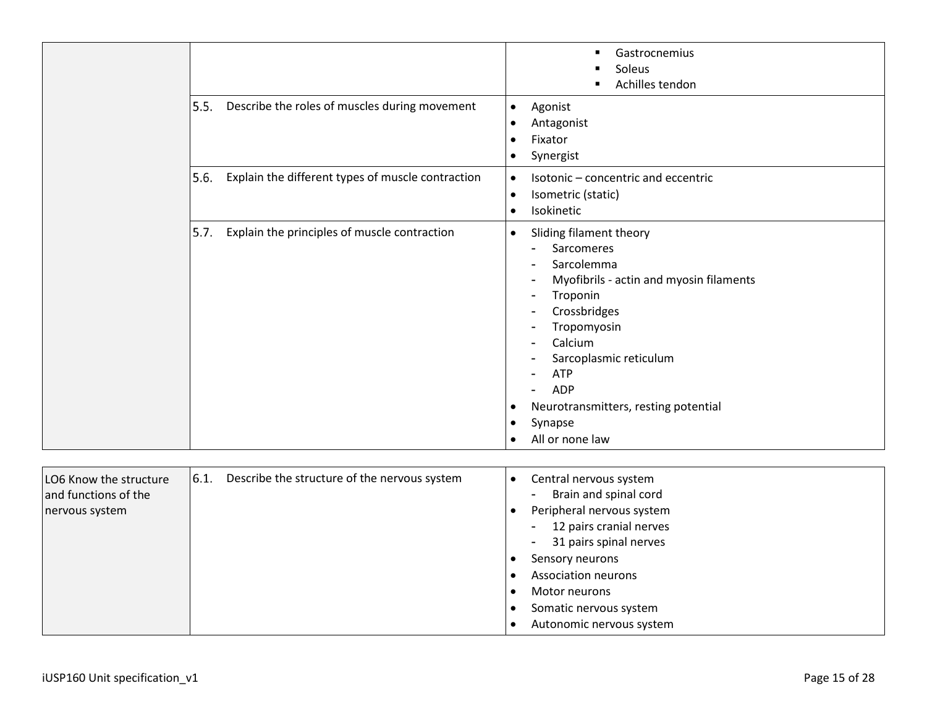|  |                                                           | Gastrocnemius<br>٠<br>Soleus<br>Achilles tendon<br>٠                                                                                                                                                                                                                                                                                                            |
|--|-----------------------------------------------------------|-----------------------------------------------------------------------------------------------------------------------------------------------------------------------------------------------------------------------------------------------------------------------------------------------------------------------------------------------------------------|
|  | Describe the roles of muscles during movement<br>5.5.     | Agonist<br>$\bullet$<br>Antagonist<br>$\bullet$<br>Fixator<br>$\bullet$<br>Synergist<br>$\bullet$                                                                                                                                                                                                                                                               |
|  | 5.6.<br>Explain the different types of muscle contraction | Isotonic - concentric and eccentric<br>$\bullet$<br>Isometric (static)<br>$\bullet$<br>Isokinetic<br>$\bullet$                                                                                                                                                                                                                                                  |
|  | 5.7.<br>Explain the principles of muscle contraction      | Sliding filament theory<br>$\bullet$<br><b>Sarcomeres</b><br>-<br>Sarcolemma<br>۰<br>Myofibrils - actin and myosin filaments<br>-<br>Troponin<br>٠<br>Crossbridges<br>-<br>Tropomyosin<br>٠<br>Calcium<br>-<br>Sarcoplasmic reticulum<br><b>ATP</b><br>ADP<br>Neurotransmitters, resting potential<br>٠<br>Synapse<br>$\bullet$<br>All or none law<br>$\bullet$ |

| LO6 Know the structure<br>and functions of the<br>nervous system | 6.1. | Describe the structure of the nervous system | Central nervous system<br>Brain and spinal cord<br>٠<br>Peripheral nervous system<br>12 pairs cranial nerves<br>$\blacksquare$<br>31 pairs spinal nerves<br>$\blacksquare$ |
|------------------------------------------------------------------|------|----------------------------------------------|----------------------------------------------------------------------------------------------------------------------------------------------------------------------------|
|                                                                  |      |                                              | Sensory neurons                                                                                                                                                            |
|                                                                  |      |                                              | Association neurons                                                                                                                                                        |
|                                                                  |      |                                              | Motor neurons                                                                                                                                                              |
|                                                                  |      |                                              | Somatic nervous system                                                                                                                                                     |
|                                                                  |      |                                              |                                                                                                                                                                            |
|                                                                  |      |                                              | Autonomic nervous system                                                                                                                                                   |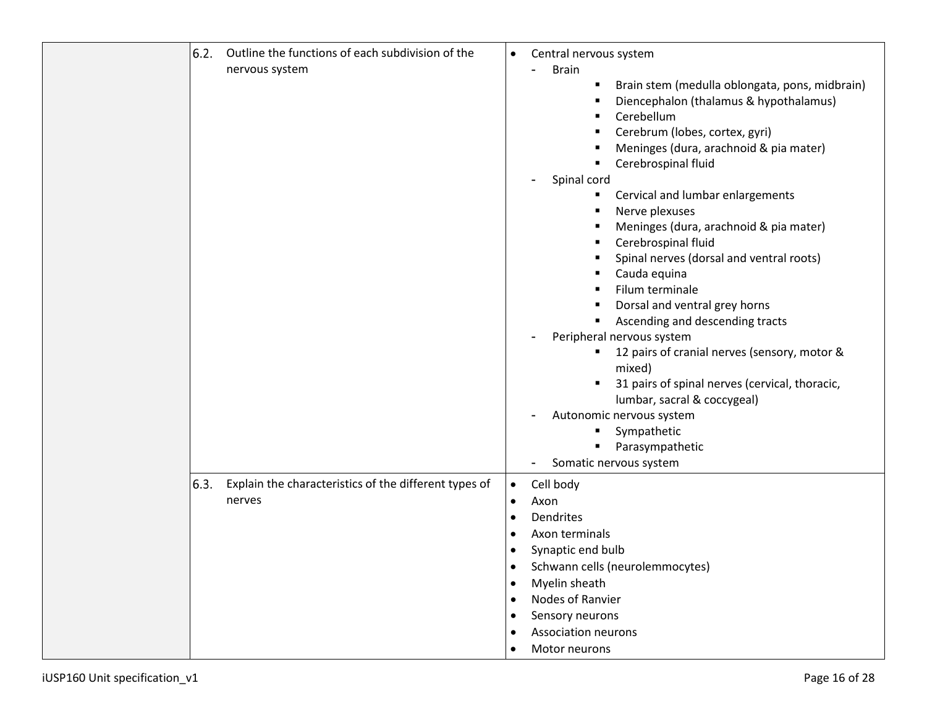| 6.2. | Outline the functions of each subdivision of the<br>nervous system | Central nervous system<br>$\bullet$<br><b>Brain</b><br>Brain stem (medulla oblongata, pons, midbrain)<br>٠<br>Diencephalon (thalamus & hypothalamus)<br>п<br>Cerebellum<br>п<br>Cerebrum (lobes, cortex, gyri)<br>Meninges (dura, arachnoid & pia mater)<br>Cerebrospinal fluid<br>п<br>Spinal cord<br>Cervical and lumbar enlargements<br>п<br>Nerve plexuses<br>п<br>Meninges (dura, arachnoid & pia mater)<br>п<br>Cerebrospinal fluid<br>٠<br>Spinal nerves (dorsal and ventral roots)<br>Cauda equina<br>Filum terminale<br>Dorsal and ventral grey horns<br>٠<br>Ascending and descending tracts<br>Peripheral nervous system<br>12 pairs of cranial nerves (sensory, motor &<br>٠<br>mixed)<br>31 pairs of spinal nerves (cervical, thoracic,<br>lumbar, sacral & coccygeal)<br>Autonomic nervous system<br>Sympathetic<br>٠<br>Parasympathetic<br>٠<br>Somatic nervous system |
|------|--------------------------------------------------------------------|---------------------------------------------------------------------------------------------------------------------------------------------------------------------------------------------------------------------------------------------------------------------------------------------------------------------------------------------------------------------------------------------------------------------------------------------------------------------------------------------------------------------------------------------------------------------------------------------------------------------------------------------------------------------------------------------------------------------------------------------------------------------------------------------------------------------------------------------------------------------------------------|
| 6.3. | Explain the characteristics of the different types of<br>nerves    | Cell body<br>$\bullet$<br>Axon<br>$\bullet$<br>Dendrites<br>$\bullet$<br>Axon terminals<br>Synaptic end bulb<br>Schwann cells (neurolemmocytes)<br>Myelin sheath<br>$\bullet$<br>Nodes of Ranvier<br>$\bullet$<br>Sensory neurons<br><b>Association neurons</b><br>Motor neurons                                                                                                                                                                                                                                                                                                                                                                                                                                                                                                                                                                                                      |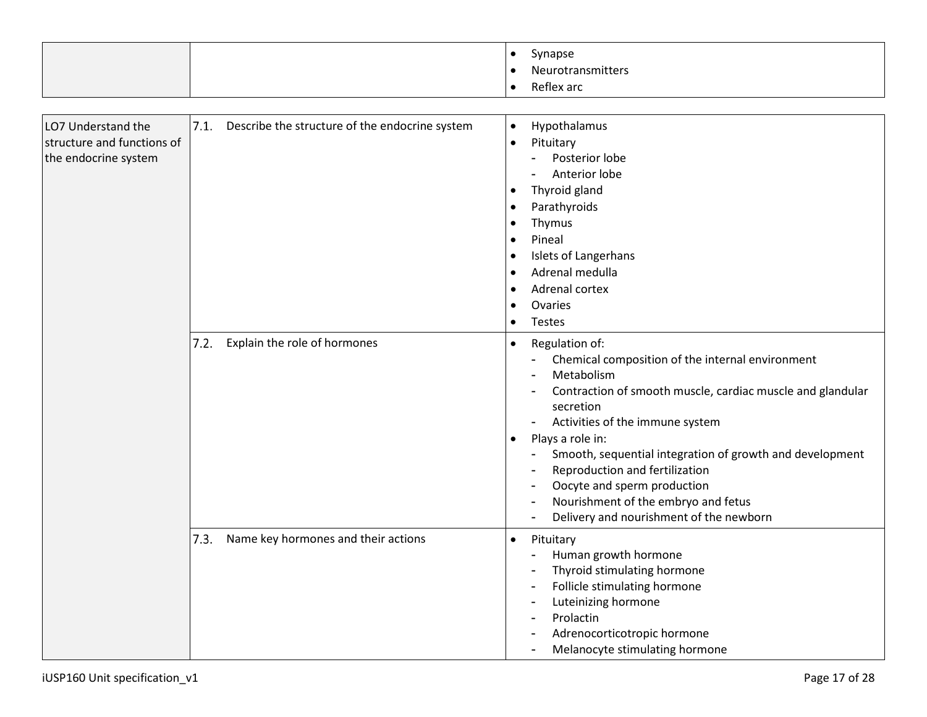|  | Synapse<br>Neurotransmitters<br>Reflex arc |
|--|--------------------------------------------|
|  |                                            |

| LO7 Understand the<br>structure and functions of<br>the endocrine system | 7.1.<br>Describe the structure of the endocrine system | Hypothalamus<br>$\bullet$<br>Pituitary<br>$\bullet$<br>Posterior lobe<br>Anterior lobe<br>Thyroid gland<br>Parathyroids<br>Thymus<br>Pineal<br><b>Islets of Langerhans</b><br>Adrenal medulla<br>Adrenal cortex<br>Ovaries<br>Testes                                                                                                                                                                                                           |
|--------------------------------------------------------------------------|--------------------------------------------------------|------------------------------------------------------------------------------------------------------------------------------------------------------------------------------------------------------------------------------------------------------------------------------------------------------------------------------------------------------------------------------------------------------------------------------------------------|
|                                                                          | Explain the role of hormones<br>7.2.                   | Regulation of:<br>Chemical composition of the internal environment<br>Metabolism<br>Contraction of smooth muscle, cardiac muscle and glandular<br>secretion<br>Activities of the immune system<br>Plays a role in:<br>$\bullet$<br>Smooth, sequential integration of growth and development<br>Reproduction and fertilization<br>Oocyte and sperm production<br>Nourishment of the embryo and fetus<br>Delivery and nourishment of the newborn |
|                                                                          | Name key hormones and their actions<br>7.3.            | Pituitary<br>$\bullet$<br>Human growth hormone<br>Thyroid stimulating hormone<br>Follicle stimulating hormone<br>Luteinizing hormone<br>Prolactin<br>Adrenocorticotropic hormone<br>Melanocyte stimulating hormone                                                                                                                                                                                                                             |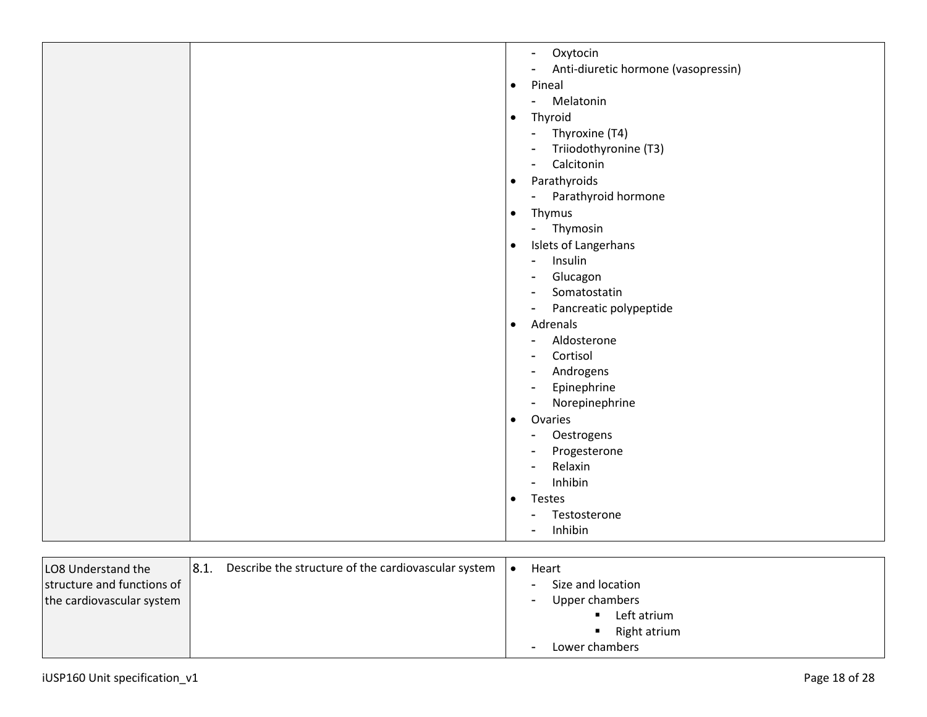| Oxytocin<br>$\blacksquare$                            |
|-------------------------------------------------------|
| Anti-diuretic hormone (vasopressin)<br>$\overline{a}$ |
| Pineal<br>$\bullet$                                   |
| Melatonin<br>$\sim$                                   |
| Thyroid<br>$\bullet$                                  |
| Thyroxine (T4)<br>$\blacksquare$                      |
| Triiodothyronine (T3)<br>$\blacksquare$               |
| Calcitonin<br>$\blacksquare$                          |
| Parathyroids<br>$\bullet$                             |
| Parathyroid hormone<br>$\blacksquare$                 |
| Thymus<br>$\bullet$                                   |
| Thymosin<br>$\blacksquare$                            |
| Islets of Langerhans<br>$\bullet$                     |
| Insulin<br>$\blacksquare$                             |
| Glucagon<br>$\blacksquare$                            |
| Somatostatin<br>$\blacksquare$                        |
| Pancreatic polypeptide<br>$\overline{\phantom{a}}$    |
| Adrenals<br>$\bullet$                                 |
| Aldosterone<br>$\blacksquare$                         |
| Cortisol<br>$\overline{\phantom{0}}$                  |
| Androgens<br>$\overline{\phantom{a}}$                 |
| Epinephrine<br>$\overline{\phantom{a}}$               |
| Norepinephrine<br>$\blacksquare$                      |
| Ovaries<br>$\bullet$                                  |
| Oestrogens<br>$\blacksquare$                          |
| Progesterone                                          |
| Relaxin<br>$\blacksquare$                             |
| Inhibin<br>$\blacksquare$                             |
| Testes<br>$\bullet$                                   |
| Testosterone<br>۰                                     |
| Inhibin                                               |
|                                                       |

| LO8 Understand the         | $\parallel$ 8.1. | Describe the structure of the cardiovascular system | Heart                                      |
|----------------------------|------------------|-----------------------------------------------------|--------------------------------------------|
| structure and functions of |                  |                                                     | Size and location<br>$\sim$                |
| the cardiovascular system  |                  |                                                     | Upper chambers<br>$\blacksquare$           |
|                            |                  |                                                     | Left atrium                                |
|                            |                  |                                                     | Right atrium                               |
|                            |                  |                                                     | Lower chambers<br>$\overline{\phantom{a}}$ |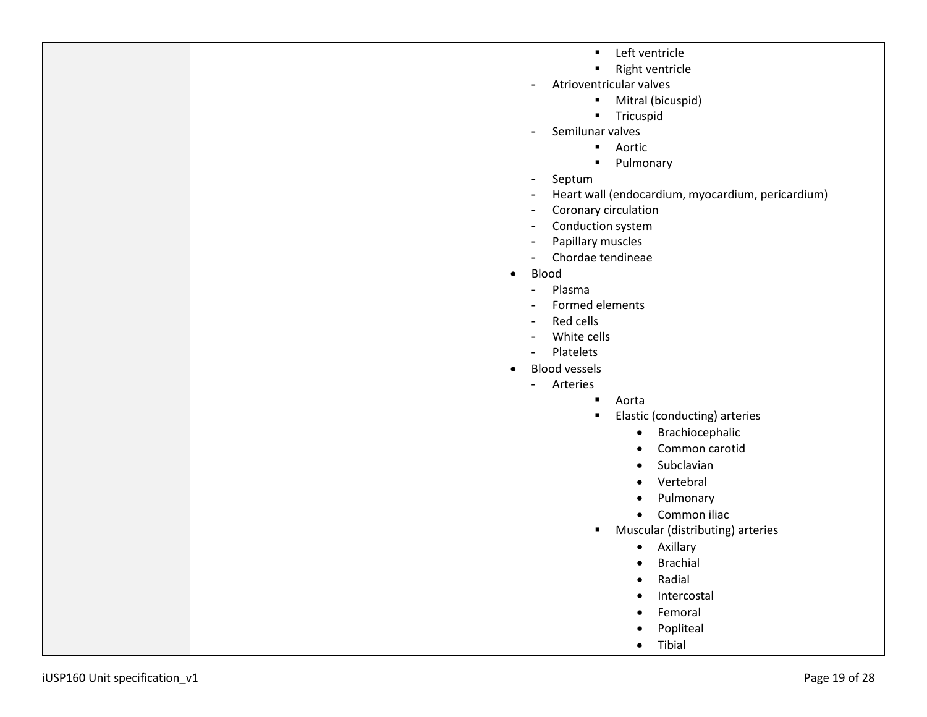|                               | Left ventricle<br>٠                               |
|-------------------------------|---------------------------------------------------|
|                               | Right ventricle<br>п                              |
|                               | Atrioventricular valves                           |
|                               | Mitral (bicuspid)<br>٠                            |
|                               | Tricuspid<br>٠                                    |
|                               | Semilunar valves                                  |
|                               | Aortic<br>$\blacksquare$                          |
|                               | Pulmonary<br>٠                                    |
|                               | Septum                                            |
|                               | Heart wall (endocardium, myocardium, pericardium) |
|                               | Coronary circulation                              |
|                               | Conduction system                                 |
|                               | Papillary muscles                                 |
|                               | Chordae tendineae                                 |
|                               | Blood<br>$\bullet$                                |
|                               | Plasma<br>$\blacksquare$                          |
|                               | Formed elements                                   |
|                               | Red cells                                         |
|                               | White cells                                       |
|                               | Platelets<br><b>Blood vessels</b>                 |
|                               | $\bullet$                                         |
|                               | Arteries<br>$\blacksquare$<br>Aorta<br>п          |
|                               | Elastic (conducting) arteries<br>٠                |
|                               | Brachiocephalic<br>$\bullet$                      |
|                               | Common carotid<br>$\bullet$                       |
|                               | Subclavian<br>$\bullet$                           |
|                               | Vertebral                                         |
|                               | Pulmonary<br>$\bullet$                            |
|                               | Common iliac<br>$\bullet$                         |
|                               | Muscular (distributing) arteries<br>п             |
|                               | Axillary<br>$\bullet$                             |
|                               |                                                   |
|                               | <b>Brachial</b><br>Radial<br>$\bullet$            |
|                               | Intercostal                                       |
|                               | $\bullet$<br>Femoral                              |
|                               | $\bullet$                                         |
|                               | Popliteal                                         |
|                               | Tibial<br>$\bullet$                               |
| iUSP160 Unit specification_v1 | Page 19 of 28                                     |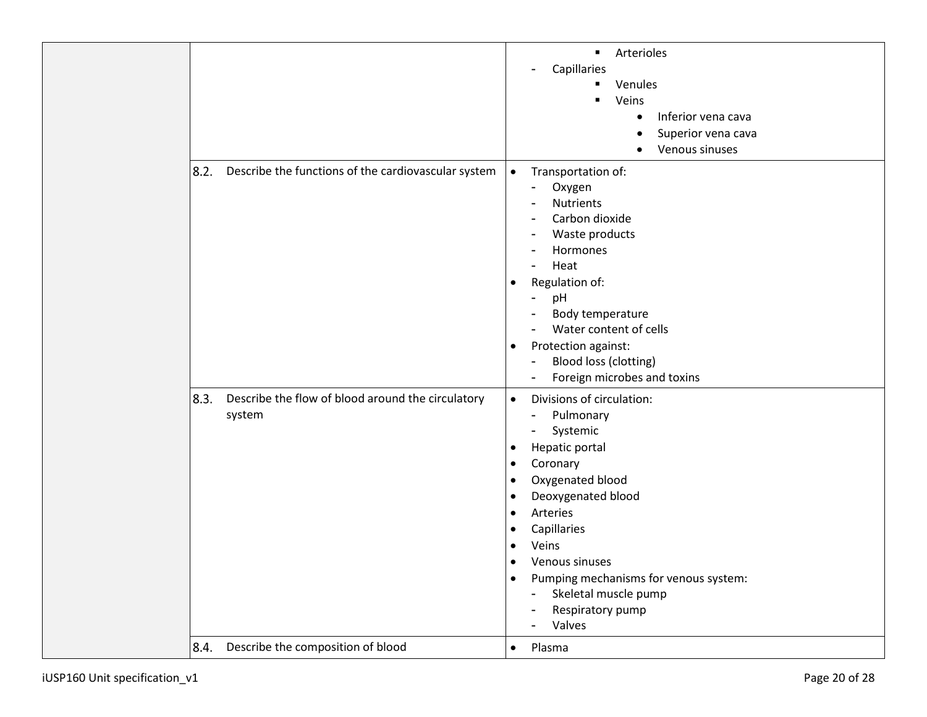|      |                                                             | Arterioles<br>$\blacksquare$<br>Capillaries<br>Venules<br>Veins<br>$\blacksquare$<br>Inferior vena cava<br>$\bullet$<br>Superior vena cava<br>Venous sinuses                                                                                                                                                                                                                                                                                                 |
|------|-------------------------------------------------------------|--------------------------------------------------------------------------------------------------------------------------------------------------------------------------------------------------------------------------------------------------------------------------------------------------------------------------------------------------------------------------------------------------------------------------------------------------------------|
| 8.2. | Describe the functions of the cardiovascular system         | Transportation of:<br>$\bullet$<br>Oxygen<br>$\blacksquare$<br><b>Nutrients</b><br>Carbon dioxide<br>$\overline{\phantom{a}}$<br>Waste products<br>Hormones<br>$\blacksquare$<br>Heat<br>Regulation of:<br>$\bullet$<br>pH<br>Body temperature<br>Water content of cells<br>Protection against:<br>$\bullet$<br>Blood loss (clotting)<br>٠<br>Foreign microbes and toxins<br>۰                                                                               |
| 8.3. | Describe the flow of blood around the circulatory<br>system | Divisions of circulation:<br>$\bullet$<br>Pulmonary<br>$\blacksquare$<br>Systemic<br>$\blacksquare$<br>Hepatic portal<br>$\bullet$<br>Coronary<br>$\bullet$<br>Oxygenated blood<br>$\bullet$<br>Deoxygenated blood<br>$\bullet$<br>Arteries<br>$\bullet$<br>Capillaries<br>$\bullet$<br>Veins<br>٠<br>Venous sinuses<br>Pumping mechanisms for venous system:<br>$\bullet$<br>Skeletal muscle pump<br>۰<br>Respiratory pump<br>$\blacksquare$<br>Valves<br>۰ |
| 8.4. | Describe the composition of blood                           | Plasma<br>$\bullet$                                                                                                                                                                                                                                                                                                                                                                                                                                          |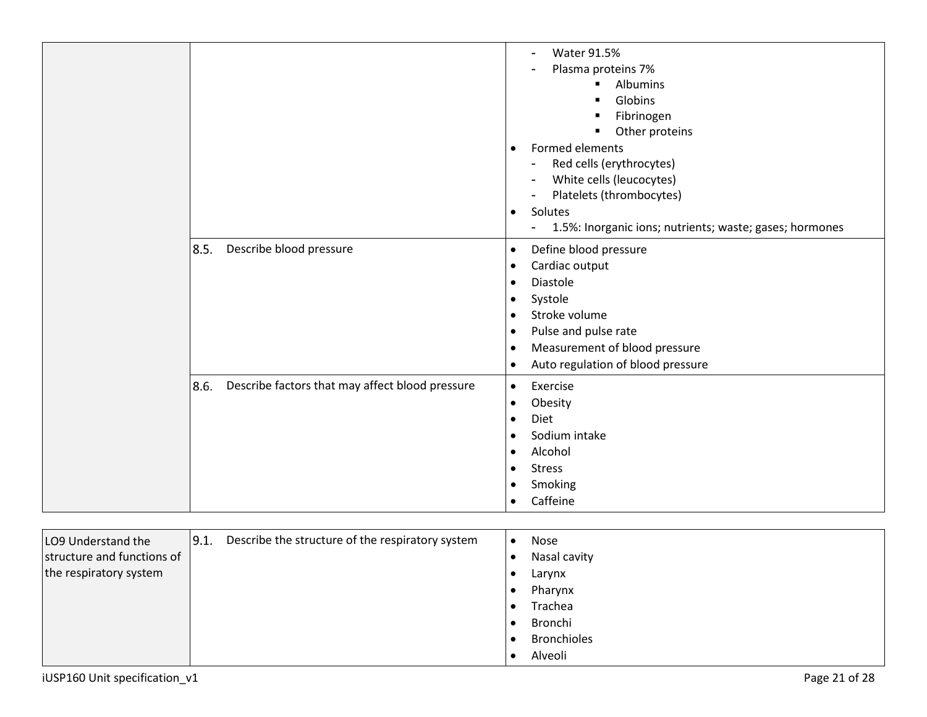|                                                         | <b>Water 91.5%</b><br>۰<br>Plasma proteins 7%<br>$\blacksquare$<br>Albumins<br>Globins<br>Fibrinogen<br>$\blacksquare$<br>Other proteins<br>٠<br><b>Formed elements</b><br>$\bullet$<br>Red cells (erythrocytes)<br>$\blacksquare$<br>White cells (leucocytes)<br>Platelets (thrombocytes)<br>$\blacksquare$<br>Solutes<br>$\bullet$<br>1.5%: Inorganic ions; nutrients; waste; gases; hormones<br>$\blacksquare$ |
|---------------------------------------------------------|-------------------------------------------------------------------------------------------------------------------------------------------------------------------------------------------------------------------------------------------------------------------------------------------------------------------------------------------------------------------------------------------------------------------|
| 8.5.<br>Describe blood pressure                         | Define blood pressure<br>$\bullet$<br>Cardiac output<br>$\bullet$<br><b>Diastole</b><br>$\bullet$<br>Systole<br>$\bullet$<br>Stroke volume<br>$\bullet$<br>Pulse and pulse rate<br>$\bullet$<br>Measurement of blood pressure<br>$\bullet$<br>Auto regulation of blood pressure<br>$\bullet$                                                                                                                      |
| 8.6.<br>Describe factors that may affect blood pressure | Exercise<br>$\bullet$<br>Obesity<br>$\bullet$<br>Diet<br>$\bullet$<br>Sodium intake<br>$\bullet$<br>Alcohol<br>$\bullet$<br><b>Stress</b><br>$\bullet$<br>Smoking<br>$\bullet$<br>Caffeine<br>$\bullet$                                                                                                                                                                                                           |

| LO9 Understand the         | 9.1. | Describe the structure of the respiratory system | $\bullet$ | Nose               |
|----------------------------|------|--------------------------------------------------|-----------|--------------------|
| structure and functions of |      |                                                  |           | Nasal cavity       |
| the respiratory system     |      |                                                  |           | Larynx             |
|                            |      |                                                  |           | Pharynx            |
|                            |      |                                                  |           | Trachea            |
|                            |      |                                                  |           | Bronchi            |
|                            |      |                                                  |           | <b>Bronchioles</b> |
|                            |      |                                                  |           | Alveoli            |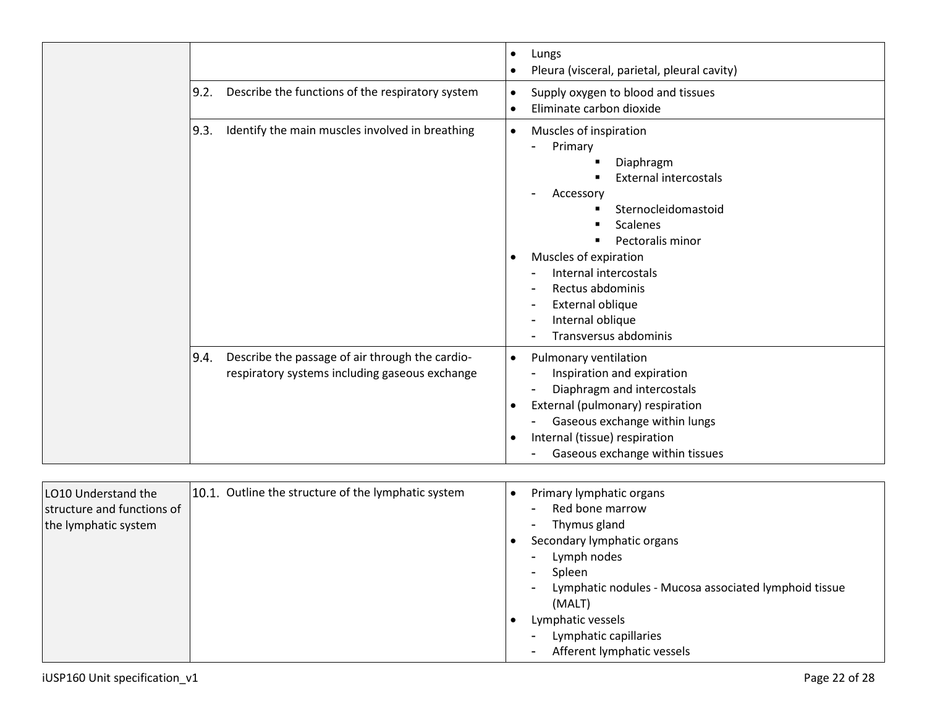|                                                                                                           | Lungs<br>$\bullet$<br>Pleura (visceral, parietal, pleural cavity)<br>$\bullet$                                                                                                                                                                                                                                     |
|-----------------------------------------------------------------------------------------------------------|--------------------------------------------------------------------------------------------------------------------------------------------------------------------------------------------------------------------------------------------------------------------------------------------------------------------|
| 9.2.<br>Describe the functions of the respiratory system                                                  | Supply oxygen to blood and tissues<br>$\bullet$<br>Eliminate carbon dioxide<br>$\bullet$                                                                                                                                                                                                                           |
| Identify the main muscles involved in breathing<br>9.3.                                                   | Muscles of inspiration<br>$\bullet$<br>Primary<br>Diaphragm<br><b>External intercostals</b><br>Accessory<br>Sternocleidomastoid<br><b>Scalenes</b><br>Pectoralis minor<br>Muscles of expiration<br>٠<br>Internal intercostals<br>Rectus abdominis<br>External oblique<br>Internal oblique<br>Transversus abdominis |
| Describe the passage of air through the cardio-<br>9.4.<br>respiratory systems including gaseous exchange | Pulmonary ventilation<br>$\bullet$<br>Inspiration and expiration<br>Diaphragm and intercostals<br>External (pulmonary) respiration<br>$\bullet$<br>Gaseous exchange within lungs<br>Internal (tissue) respiration<br>$\bullet$<br>Gaseous exchange within tissues                                                  |

| LO10 Understand the<br>structure and functions of<br>the lymphatic system | 10.1. Outline the structure of the lymphatic system | Primary lymphatic organs<br>Red bone marrow<br>Thymus gland |
|---------------------------------------------------------------------------|-----------------------------------------------------|-------------------------------------------------------------|
|                                                                           |                                                     | Secondary lymphatic organs                                  |
|                                                                           |                                                     | Lymph nodes                                                 |
|                                                                           |                                                     | Spleen                                                      |
|                                                                           |                                                     | Lymphatic nodules - Mucosa associated lymphoid tissue       |
|                                                                           |                                                     | (MALT)                                                      |
|                                                                           |                                                     | Lymphatic vessels                                           |
|                                                                           |                                                     | Lymphatic capillaries                                       |
|                                                                           |                                                     | Afferent lymphatic vessels                                  |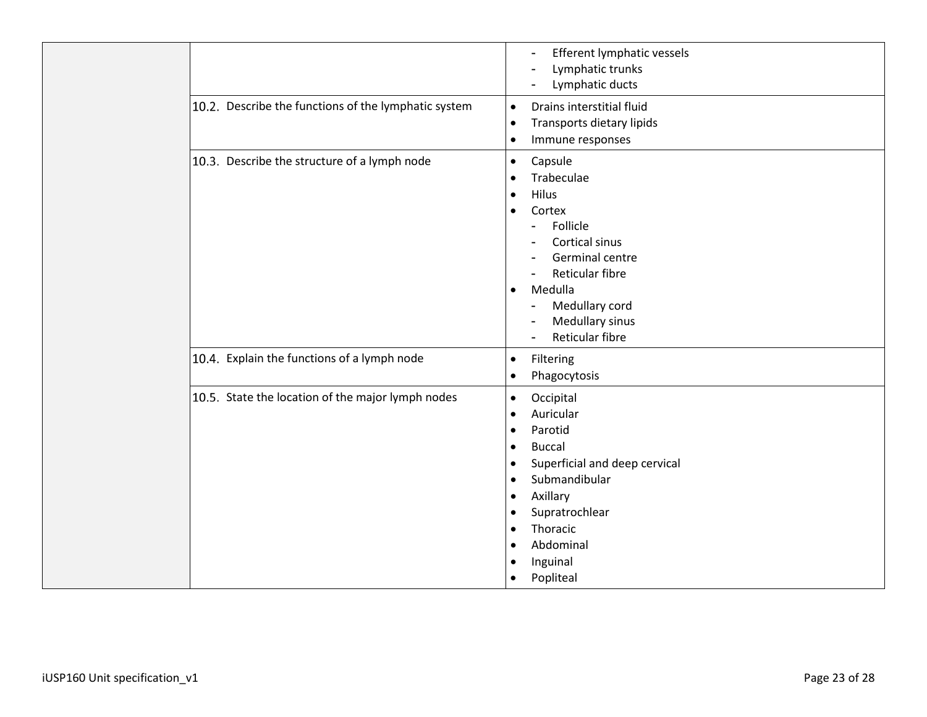|                                                      | Efferent lymphatic vessels<br>۰<br>Lymphatic trunks<br>۰<br>Lymphatic ducts                                                                                                                                                                                                                                              |
|------------------------------------------------------|--------------------------------------------------------------------------------------------------------------------------------------------------------------------------------------------------------------------------------------------------------------------------------------------------------------------------|
| 10.2. Describe the functions of the lymphatic system | Drains interstitial fluid<br>$\bullet$<br>Transports dietary lipids<br>$\bullet$<br>Immune responses<br>$\bullet$                                                                                                                                                                                                        |
| 10.3. Describe the structure of a lymph node         | Capsule<br>$\bullet$<br>Trabeculae<br>$\bullet$<br>Hilus<br>٠<br>Cortex<br>Follicle<br>۰<br>Cortical sinus<br>Germinal centre<br>Reticular fibre<br>Medulla<br>$\bullet$<br>Medullary cord<br>Medullary sinus<br>۰<br>Reticular fibre<br>Ξ.                                                                              |
| 10.4. Explain the functions of a lymph node          | Filtering<br>$\bullet$<br>Phagocytosis<br>$\bullet$                                                                                                                                                                                                                                                                      |
| 10.5. State the location of the major lymph nodes    | Occipital<br>$\bullet$<br>Auricular<br>$\bullet$<br>Parotid<br>٠<br><b>Buccal</b><br>$\bullet$<br>Superficial and deep cervical<br>$\bullet$<br>Submandibular<br>$\bullet$<br>Axillary<br>$\bullet$<br>Supratrochlear<br>$\bullet$<br>Thoracic<br>$\bullet$<br>Abdominal<br>٠<br>Inguinal<br>٠<br>Popliteal<br>$\bullet$ |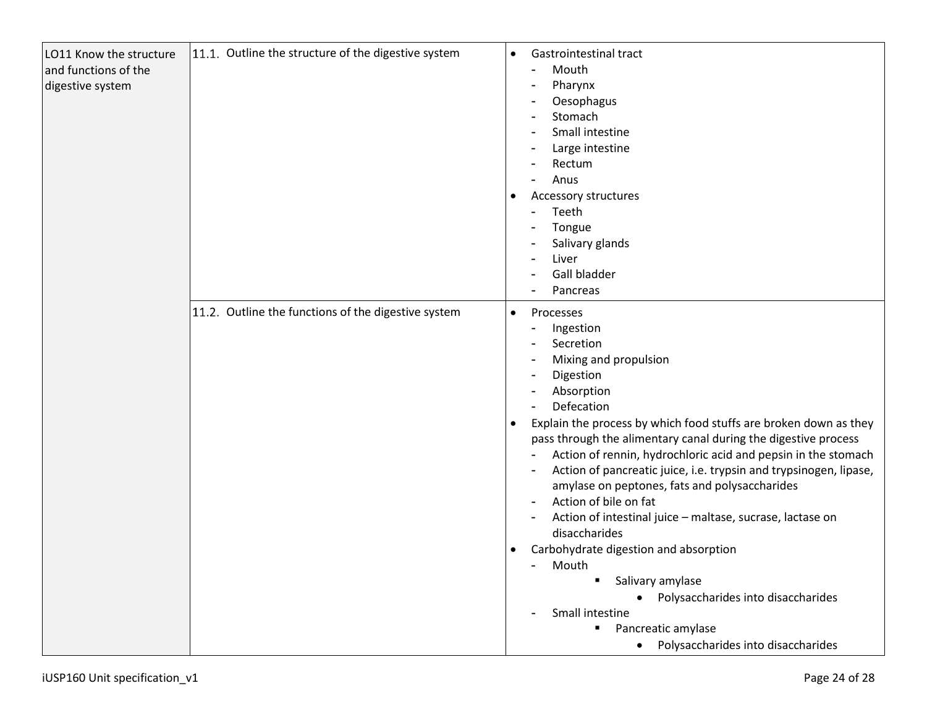| LO11 Know the structure<br>and functions of the<br>digestive system | 11.1. Outline the structure of the digestive system | Gastrointestinal tract<br>$\bullet$<br>Mouth<br>Pharynx<br>Oesophagus<br>Stomach<br>Small intestine<br>Large intestine<br>Rectum<br>Anus<br>$\blacksquare$<br>Accessory structures<br>$\bullet$<br>Teeth<br>$\blacksquare$<br>Tongue<br>Salivary glands<br>Liver<br>Gall bladder<br>Pancreas                                                                                                                                                                                                                                                                                                                                                                                                                                                                                                                                                                                                                   |
|---------------------------------------------------------------------|-----------------------------------------------------|----------------------------------------------------------------------------------------------------------------------------------------------------------------------------------------------------------------------------------------------------------------------------------------------------------------------------------------------------------------------------------------------------------------------------------------------------------------------------------------------------------------------------------------------------------------------------------------------------------------------------------------------------------------------------------------------------------------------------------------------------------------------------------------------------------------------------------------------------------------------------------------------------------------|
|                                                                     | 11.2. Outline the functions of the digestive system | Processes<br>$\bullet$<br>Ingestion<br>$\overline{a}$<br>Secretion<br>Mixing and propulsion<br>$\overline{a}$<br>Digestion<br>$\overline{a}$<br>Absorption<br>Defecation<br>Explain the process by which food stuffs are broken down as they<br>$\bullet$<br>pass through the alimentary canal during the digestive process<br>Action of rennin, hydrochloric acid and pepsin in the stomach<br>Action of pancreatic juice, i.e. trypsin and trypsinogen, lipase,<br>$\overline{a}$<br>amylase on peptones, fats and polysaccharides<br>Action of bile on fat<br>$\blacksquare$<br>Action of intestinal juice - maltase, sucrase, lactase on<br>$\overline{a}$<br>disaccharides<br>Carbohydrate digestion and absorption<br>$\bullet$<br>Mouth<br>Salivary amylase<br>٠<br>Polysaccharides into disaccharides<br>Small intestine<br>Pancreatic amylase<br>٠<br>Polysaccharides into disaccharides<br>$\bullet$ |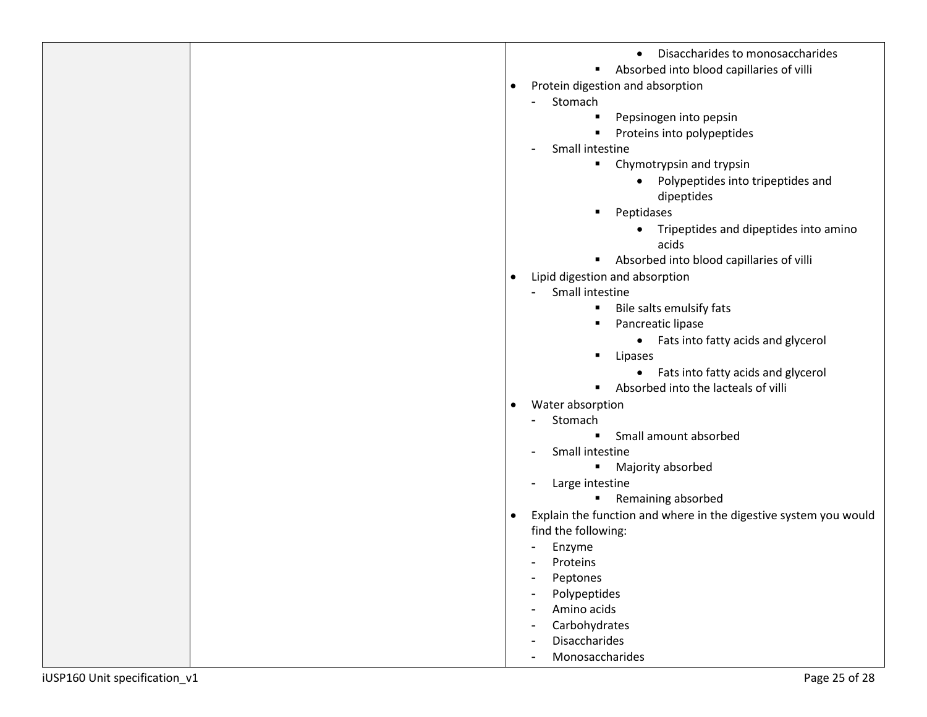|                               | Disaccharides to monosaccharides                                              |
|-------------------------------|-------------------------------------------------------------------------------|
|                               | Absorbed into blood capillaries of villi                                      |
|                               | Protein digestion and absorption<br>$\bullet$                                 |
|                               | Stomach<br>۰                                                                  |
|                               | Pepsinogen into pepsin<br>٠                                                   |
|                               | Proteins into polypeptides                                                    |
|                               | Small intestine<br>-                                                          |
|                               | Chymotrypsin and trypsin                                                      |
|                               | Polypeptides into tripeptides and<br>$\bullet$                                |
|                               | dipeptides                                                                    |
|                               | Peptidases                                                                    |
|                               | Tripeptides and dipeptides into amino<br>acids                                |
|                               | Absorbed into blood capillaries of villi<br>٠                                 |
|                               | Lipid digestion and absorption<br>$\bullet$                                   |
|                               | Small intestine<br>$\blacksquare$                                             |
|                               | Bile salts emulsify fats                                                      |
|                               | Pancreatic lipase<br>٠                                                        |
|                               | • Fats into fatty acids and glycerol                                          |
|                               | Lipases                                                                       |
|                               | • Fats into fatty acids and glycerol                                          |
|                               | Absorbed into the lacteals of villi<br>٠                                      |
|                               | Water absorption<br>$\bullet$                                                 |
|                               | Stomach<br>٠                                                                  |
|                               | Small amount absorbed<br>$\blacksquare$                                       |
|                               | Small intestine<br>-                                                          |
|                               | Majority absorbed<br>٠                                                        |
|                               | Large intestine<br>٠                                                          |
|                               | Remaining absorbed<br>$\blacksquare$                                          |
|                               | Explain the function and where in the digestive system you would<br>$\bullet$ |
|                               | find the following:                                                           |
|                               | Enzyme                                                                        |
|                               | Proteins                                                                      |
|                               | Peptones<br>$\blacksquare$                                                    |
|                               | Polypeptides                                                                  |
|                               | Amino acids<br>Carbohydrates                                                  |
|                               | $\blacksquare$<br><b>Disaccharides</b><br>$\blacksquare$                      |
|                               | Monosaccharides<br>$\overline{\phantom{0}}$                                   |
|                               |                                                                               |
| iUSP160 Unit specification_v1 | Page 25 of 28                                                                 |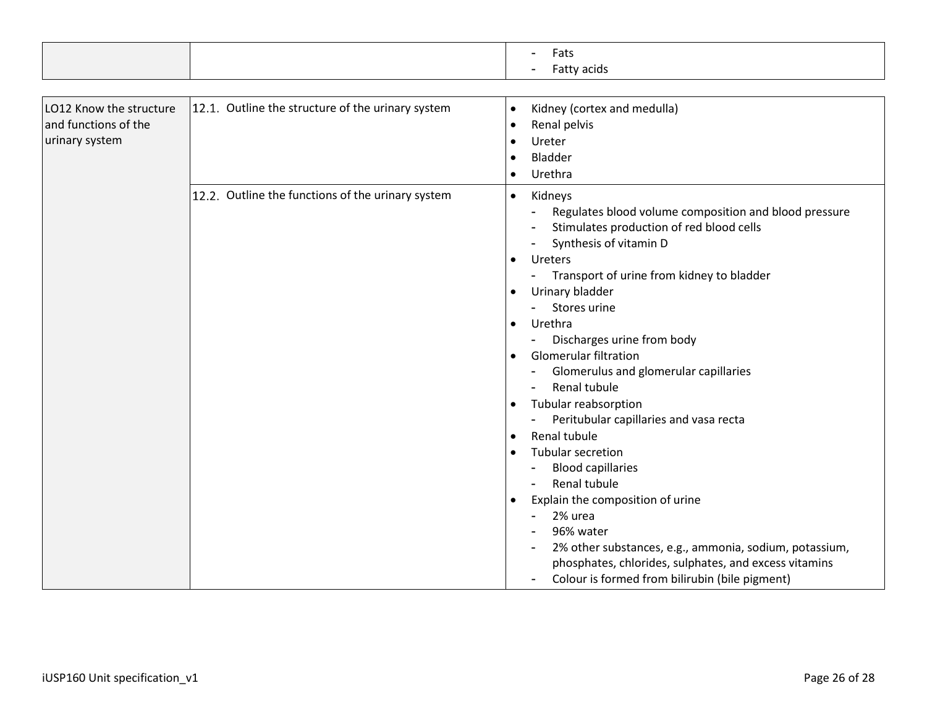|  |     | Fats        |
|--|-----|-------------|
|  | . . | Fatty acids |

| LO12 Know the structure<br>and functions of the<br>urinary system | 12.1. Outline the structure of the urinary system | Kidney (cortex and medulla)<br>$\bullet$<br>Renal pelvis<br>$\bullet$<br>Ureter<br>Bladder<br>Urethra<br>$\bullet$                                                                                                                                                                                                                                                                                                                                                                                                                                                                                                                                                                                                                                                                                                              |
|-------------------------------------------------------------------|---------------------------------------------------|---------------------------------------------------------------------------------------------------------------------------------------------------------------------------------------------------------------------------------------------------------------------------------------------------------------------------------------------------------------------------------------------------------------------------------------------------------------------------------------------------------------------------------------------------------------------------------------------------------------------------------------------------------------------------------------------------------------------------------------------------------------------------------------------------------------------------------|
|                                                                   | 12.2. Outline the functions of the urinary system | Kidneys<br>$\bullet$<br>Regulates blood volume composition and blood pressure<br>Stimulates production of red blood cells<br>Synthesis of vitamin D<br><b>Ureters</b><br>Transport of urine from kidney to bladder<br>Urinary bladder<br>Stores urine<br>Urethra<br>$\bullet$<br>Discharges urine from body<br><b>Glomerular filtration</b><br>Glomerulus and glomerular capillaries<br>Renal tubule<br>Tubular reabsorption<br>$\bullet$<br>Peritubular capillaries and vasa recta<br>Renal tubule<br>$\bullet$<br>Tubular secretion<br><b>Blood capillaries</b><br>Renal tubule<br>Explain the composition of urine<br>$\bullet$<br>2% urea<br>96% water<br>2% other substances, e.g., ammonia, sodium, potassium,<br>phosphates, chlorides, sulphates, and excess vitamins<br>Colour is formed from bilirubin (bile pigment) |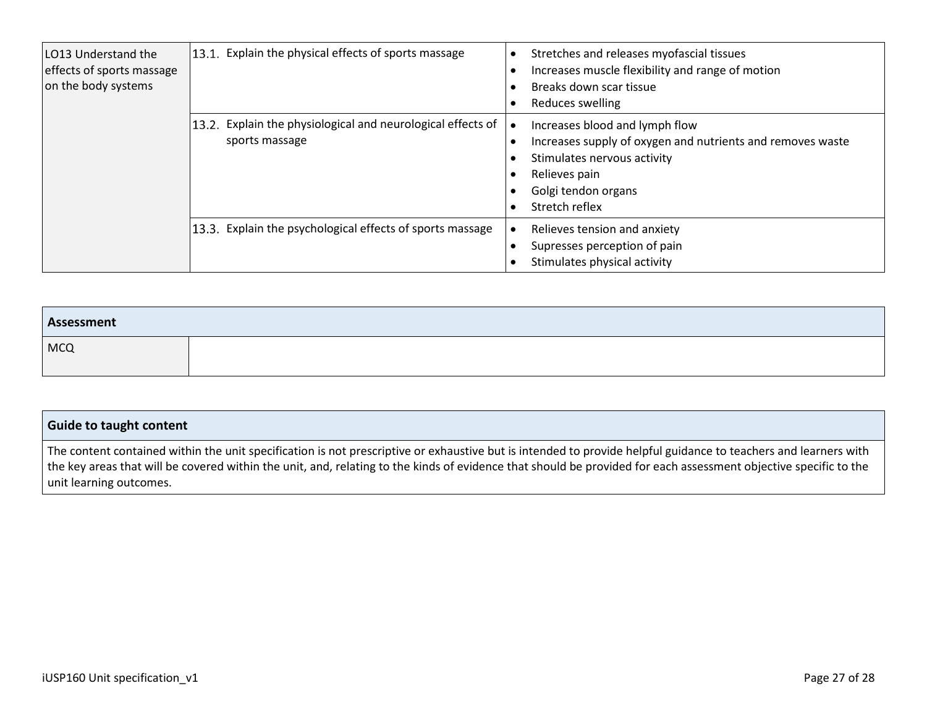| LO13 Understand the<br>effects of sports massage<br>on the body systems | 13.1. Explain the physical effects of sports massage                          | Stretches and releases myofascial tissues<br>Increases muscle flexibility and range of motion<br>Breaks down scar tissue<br>Reduces swelling                                          |
|-------------------------------------------------------------------------|-------------------------------------------------------------------------------|---------------------------------------------------------------------------------------------------------------------------------------------------------------------------------------|
|                                                                         | 13.2. Explain the physiological and neurological effects of<br>sports massage | Increases blood and lymph flow<br>Increases supply of oxygen and nutrients and removes waste<br>Stimulates nervous activity<br>Relieves pain<br>Golgi tendon organs<br>Stretch reflex |
|                                                                         | 13.3. Explain the psychological effects of sports massage                     | Relieves tension and anxiety<br>Supresses perception of pain<br>Stimulates physical activity                                                                                          |

| Assessment |  |
|------------|--|
| <b>MCQ</b> |  |

#### **Guide to taught content** The content contained within the unit specification is not prescriptive or exhaustive but is intended to provide helpful guidance to teachers and learners with the key areas that will be covered within the unit, and, relating to the kinds of evidence that should be provided for each assessment objective specific to the unit learning outcomes.